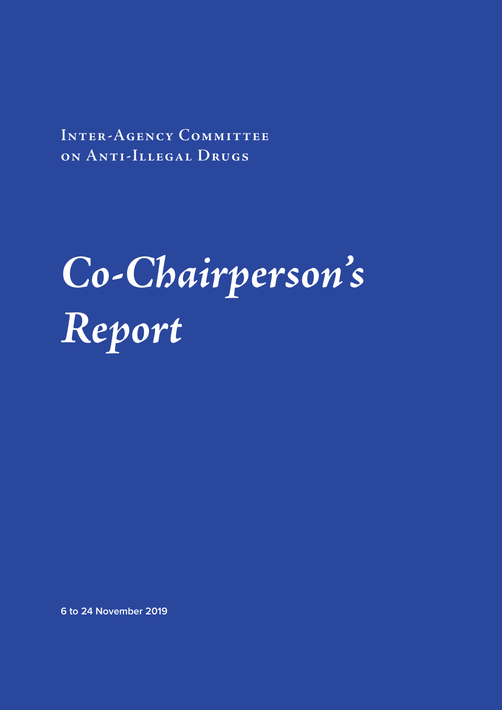**Inter-Agency Committee on Anti-Illegal Drugs**

# *Co-Chairperson's Report*

**6 to 24 November 2019**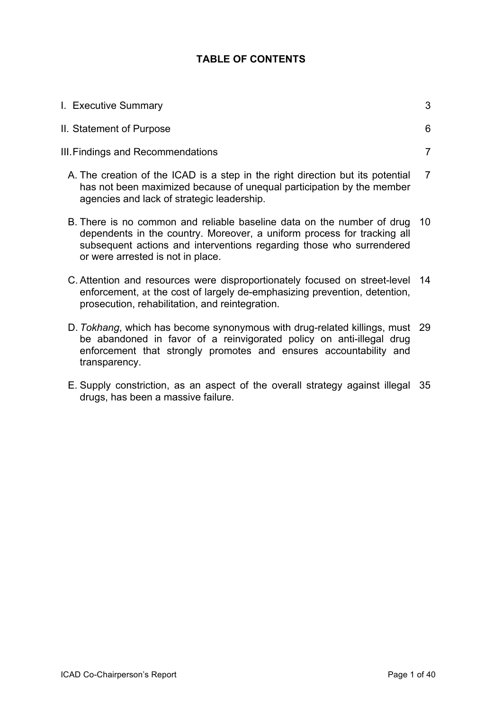# **TABLE OF CONTENTS**

| I. Executive Summary                                                                                                                                                                                                                                              | 3              |
|-------------------------------------------------------------------------------------------------------------------------------------------------------------------------------------------------------------------------------------------------------------------|----------------|
| II. Statement of Purpose                                                                                                                                                                                                                                          | 6              |
| III. Findings and Recommendations                                                                                                                                                                                                                                 | 7              |
| A. The creation of the ICAD is a step in the right direction but its potential<br>has not been maximized because of unequal participation by the member<br>agencies and lack of strategic leadership.                                                             | $\overline{7}$ |
| B. There is no common and reliable baseline data on the number of drug 10<br>dependents in the country. Moreover, a uniform process for tracking all<br>subsequent actions and interventions regarding those who surrendered<br>or were arrested is not in place. |                |
| C. Attention and resources were disproportionately focused on street-level 14<br>enforcement, at the cost of largely de-emphasizing prevention, detention,<br>prosecution, rehabilitation, and reintegration.                                                     |                |

- D. *Tokhang*, which has become synonymous with drug-related killings, must 29 be abandoned in favor of a reinvigorated policy on anti-illegal drug enforcement that strongly promotes and ensures accountability and transparency.
- E. Supply constriction, as an aspect of the overall strategy against illegal 35drugs, has been a massive failure.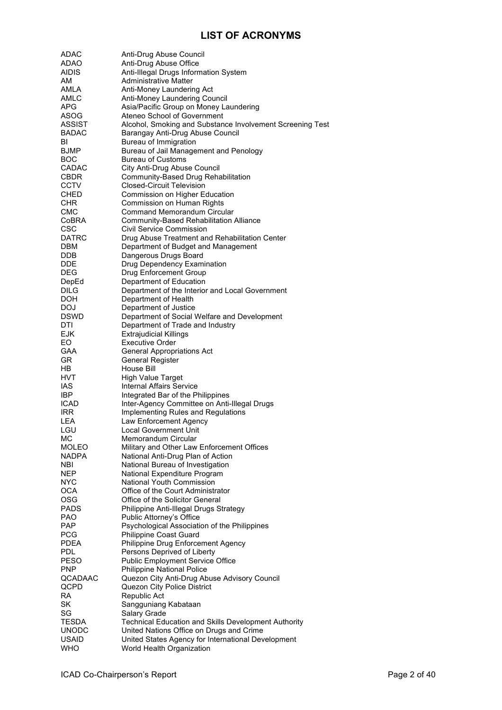# **LIST OF ACRONYMS**

| <b>ADAC</b>               | Anti-Drug Abuse Council                                                  |
|---------------------------|--------------------------------------------------------------------------|
| ADAO                      | Anti-Drug Abuse Office                                                   |
| <b>AIDIS</b>              | Anti-Illegal Drugs Information System                                    |
| AM                        | Administrative Matter                                                    |
| AMLA                      | Anti-Money Laundering Act                                                |
| AMLC                      | Anti-Money Laundering Council                                            |
| APG                       | Asia/Pacific Group on Money Laundering                                   |
| <b>ASOG</b>               | Ateneo School of Government                                              |
| <b>ASSIST</b>             | Alcohol, Smoking and Substance Involvement Screening Test                |
| <b>BADAC</b>              | Barangay Anti-Drug Abuse Council<br>Bureau of Immigration                |
| BI<br><b>BJMP</b>         | Bureau of Jail Management and Penology                                   |
| <b>BOC</b>                | <b>Bureau of Customs</b>                                                 |
| CADAC                     | City Anti-Drug Abuse Council                                             |
| <b>CBDR</b>               | Community-Based Drug Rehabilitation                                      |
| <b>CCTV</b>               | <b>Closed-Circuit Television</b>                                         |
| <b>CHED</b>               | Commission on Higher Education                                           |
| <b>CHR</b>                | Commission on Human Rights                                               |
| CMC                       | <b>Command Memorandum Circular</b>                                       |
| CoBRA                     | Community-Based Rehabilitation Alliance                                  |
| CSC                       | Civil Service Commission                                                 |
| DATRC                     | Drug Abuse Treatment and Rehabilitation Center                           |
| DBM                       | Department of Budget and Management                                      |
| DDB.                      | Dangerous Drugs Board                                                    |
| DDE                       | Drug Dependency Examination                                              |
| <b>DEG</b>                | Drug Enforcement Group                                                   |
| DepEd                     | Department of Education                                                  |
| DILG                      | Department of the Interior and Local Government                          |
| DOH                       | Department of Health                                                     |
| <b>DOJ</b>                | Department of Justice                                                    |
| <b>DSWD</b>               | Department of Social Welfare and Development                             |
| DTI                       | Department of Trade and Industry                                         |
| <b>EJK</b><br>EO.         | <b>Extrajudicial Killings</b><br><b>Executive Order</b>                  |
| GAA                       |                                                                          |
| GR                        | <b>General Appropriations Act</b><br><b>General Register</b>             |
| HB.                       | House Bill                                                               |
| HVT.                      | <b>High Value Target</b>                                                 |
| <b>IAS</b>                | <b>Internal Affairs Service</b>                                          |
| <b>IBP</b>                | Integrated Bar of the Philippines                                        |
| ICAD                      | Inter-Agency Committee on Anti-Illegal Drugs                             |
| <b>IRR</b>                | Implementing Rules and Regulations                                       |
| LEA                       | Law Enforcement Agency                                                   |
| LGU                       | Local Government Unit                                                    |
| МC                        | Memorandum Circular                                                      |
| MOLEO                     | Military and Other Law Enforcement Offices                               |
| NADPA                     | National Anti-Drug Plan of Action                                        |
| NBI                       | National Bureau of Investigation                                         |
| <b>NEP</b>                | National Expenditure Program                                             |
| <b>NYC</b>                | <b>National Youth Commission</b>                                         |
| <b>OCA</b>                | Office of the Court Administrator                                        |
| <b>OSG</b>                | Office of the Solicitor General                                          |
| <b>PADS</b><br><b>PAO</b> | Philippine Anti-Illegal Drugs Strategy                                   |
| <b>PAP</b>                | Public Attorney's Office<br>Psychological Association of the Philippines |
| <b>PCG</b>                | Philippine Coast Guard                                                   |
| <b>PDEA</b>               | Philippine Drug Enforcement Agency                                       |
| <b>PDL</b>                | Persons Deprived of Liberty                                              |
| <b>PESO</b>               | <b>Public Employment Service Office</b>                                  |
| <b>PNP</b>                | <b>Philippine National Police</b>                                        |
| QCADAAC                   | Quezon City Anti-Drug Abuse Advisory Council                             |
| QCPD                      | Quezon City Police District                                              |
| RA                        | Republic Act                                                             |
| <b>SK</b>                 | Sangguniang Kabataan                                                     |
| SG                        | Salary Grade                                                             |
| TESDA                     | <b>Technical Education and Skills Development Authority</b>              |
| <b>UNODC</b>              | United Nations Office on Drugs and Crime                                 |
| <b>USAID</b>              | United States Agency for International Development                       |
| <b>WHO</b>                | World Health Organization                                                |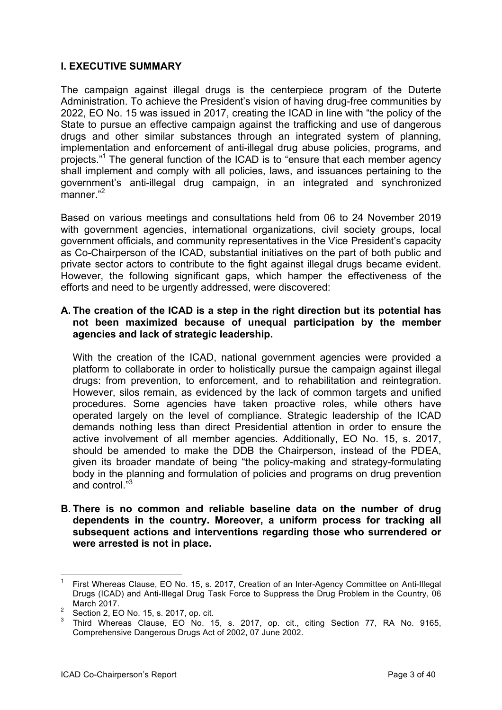#### **I. EXECUTIVE SUMMARY**

The campaign against illegal drugs is the centerpiece program of the Duterte Administration. To achieve the President's vision of having drug-free communities by 2022, EO No. 15 was issued in 2017, creating the ICAD in line with "the policy of the State to pursue an effective campaign against the trafficking and use of dangerous drugs and other similar substances through an integrated system of planning, implementation and enforcement of anti-illegal drug abuse policies, programs, and projects."<sup>1</sup> The general function of the ICAD is to "ensure that each member agency shall implement and comply with all policies, laws, and issuances pertaining to the government's anti-illegal drug campaign, in an integrated and synchronized manner."<sup>2</sup>

Based on various meetings and consultations held from 06 to 24 November 2019 with government agencies, international organizations, civil society groups, local government officials, and community representatives in the Vice President's capacity as Co-Chairperson of the ICAD, substantial initiatives on the part of both public and private sector actors to contribute to the fight against illegal drugs became evident. However, the following significant gaps, which hamper the effectiveness of the efforts and need to be urgently addressed, were discovered:

#### **A. The creation of the ICAD is a step in the right direction but its potential has not been maximized because of unequal participation by the member agencies and lack of strategic leadership.**

With the creation of the ICAD, national government agencies were provided a platform to collaborate in order to holistically pursue the campaign against illegal drugs: from prevention, to enforcement, and to rehabilitation and reintegration. However, silos remain, as evidenced by the lack of common targets and unified procedures. Some agencies have taken proactive roles, while others have operated largely on the level of compliance. Strategic leadership of the ICAD demands nothing less than direct Presidential attention in order to ensure the active involvement of all member agencies. Additionally, EO No. 15, s. 2017, should be amended to make the DDB the Chairperson, instead of the PDEA, given its broader mandate of being "the policy-making and strategy-formulating body in the planning and formulation of policies and programs on drug prevention and control."3

**B. There is no common and reliable baseline data on the number of drug dependents in the country. Moreover, a uniform process for tracking all subsequent actions and interventions regarding those who surrendered or were arrested is not in place.**

<sup>1</sup> First Whereas Clause, EO No. 15, s. 2017, Creation of an Inter-Agency Committee on Anti-Illegal Drugs (ICAD) and Anti-Illegal Drug Task Force to Suppress the Drug Problem in the Country, 06 March 2017.

Section 2, EO No. 15, s. 2017, op. cit.

<sup>3</sup> Third Whereas Clause, EO No. 15, s. 2017, op. cit., citing Section 77, RA No. 9165, Comprehensive Dangerous Drugs Act of 2002, 07 June 2002.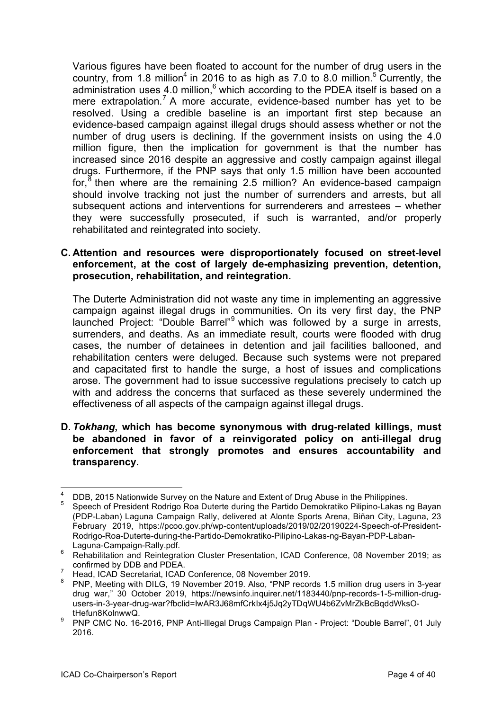Various figures have been floated to account for the number of drug users in the country, from 1.8 million<sup>4</sup> in 2016 to as high as 7.0 to 8.0 million.<sup>5</sup> Currently, the administration uses 4.0 million, $^6$  which according to the PDEA itself is based on a mere extrapolation.<sup>7</sup> A more accurate, evidence-based number has yet to be resolved. Using a credible baseline is an important first step because an evidence-based campaign against illegal drugs should assess whether or not the number of drug users is declining. If the government insists on using the 4.0 million figure, then the implication for government is that the number has increased since 2016 despite an aggressive and costly campaign against illegal drugs. Furthermore, if the PNP says that only 1.5 million have been accounted for, $8$  then where are the remaining 2.5 million? An evidence-based campaign should involve tracking not just the number of surrenders and arrests, but all subsequent actions and interventions for surrenderers and arrestees – whether they were successfully prosecuted, if such is warranted, and/or properly rehabilitated and reintegrated into society.

#### **C. Attention and resources were disproportionately focused on street-level enforcement, at the cost of largely de-emphasizing prevention, detention, prosecution, rehabilitation, and reintegration.**

The Duterte Administration did not waste any time in implementing an aggressive campaign against illegal drugs in communities. On its very first day, the PNP launched Project: "Double Barrel"<sup>9</sup> which was followed by a surge in arrests, surrenders, and deaths. As an immediate result, courts were flooded with drug cases, the number of detainees in detention and jail facilities ballooned, and rehabilitation centers were deluged. Because such systems were not prepared and capacitated first to handle the surge, a host of issues and complications arose. The government had to issue successive regulations precisely to catch up with and address the concerns that surfaced as these severely undermined the effectiveness of all aspects of the campaign against illegal drugs.

#### **D.** *Tokhang***, which has become synonymous with drug-related killings, must be abandoned in favor of a reinvigorated policy on anti-illegal drug enforcement that strongly promotes and ensures accountability and transparency.**

<sup>&</sup>lt;sup>4</sup> DDB, 2015 Nationwide Survey on the Nature and Extent of Drug Abuse in the Philippines.<br><sup>5</sup> Speech of President Rodrigo Roa Duterte during the Partido Demokratiko Pilipino-Lakas ng Bayan

<sup>(</sup>PDP-Laban) Laguna Campaign Rally, delivered at Alonte Sports Arena, Biñan City, Laguna, 23 February 2019, https://pcoo.gov.ph/wp-content/uploads/2019/02/20190224-Speech-of-President-Rodrigo-Roa-Duterte-during-the-Partido-Demokratiko-Pilipino-Lakas-ng-Bayan-PDP-Laban-

Laguna-Campaign-Rally.pdf. <sup>6</sup> Rehabilitation and Reintegration Cluster Presentation, ICAD Conference, <sup>08</sup> November 2019; as confirmed by DDB and PDEA.

<sup>&</sup>lt;sup>7</sup> Head, ICAD Secretariat, ICAD Conference, 08 November 2019.

<sup>8</sup> PNP, Meeting with DILG, 19 November 2019. Also, "PNP records 1.5 million drug users in 3-year drug war," 30 October 2019, https://newsinfo.inquirer.net/1183440/pnp-records-1-5-million-drugusers-in-3-year-drug-war?fbclid=IwAR3J68mfCrkIx4j5Jq2yTDqWU4b6ZvMrZkBcBqddWksO-

tHefun8KolnwwQ. <sup>9</sup> PNP CMC No. 16-2016, PNP Anti-Illegal Drugs Campaign Plan - Project: "Double Barrel", <sup>01</sup> July 2016.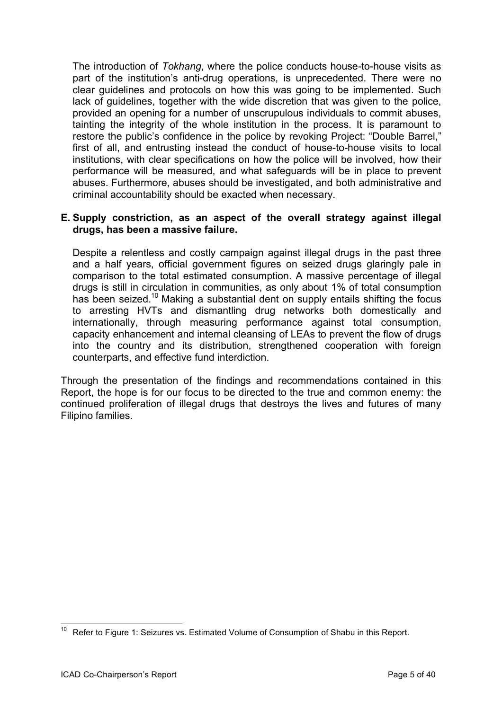The introduction of *Tokhang*, where the police conducts house-to-house visits as part of the institution's anti-drug operations, is unprecedented. There were no clear guidelines and protocols on how this was going to be implemented. Such lack of guidelines, together with the wide discretion that was given to the police, provided an opening for a number of unscrupulous individuals to commit abuses, tainting the integrity of the whole institution in the process. It is paramount to restore the public's confidence in the police by revoking Project: "Double Barrel," first of all, and entrusting instead the conduct of house-to-house visits to local institutions, with clear specifications on how the police will be involved, how their performance will be measured, and what safeguards will be in place to prevent abuses. Furthermore, abuses should be investigated, and both administrative and criminal accountability should be exacted when necessary.

#### **E. Supply constriction, as an aspect of the overall strategy against illegal drugs, has been a massive failure.**

Despite a relentless and costly campaign against illegal drugs in the past three and a half years, official government figures on seized drugs glaringly pale in comparison to the total estimated consumption. A massive percentage of illegal drugs is still in circulation in communities, as only about 1% of total consumption has been seized.<sup>10</sup> Making a substantial dent on supply entails shifting the focus to arresting HVTs and dismantling drug networks both domestically and internationally, through measuring performance against total consumption, capacity enhancement and internal cleansing of LEAs to prevent the flow of drugs into the country and its distribution, strengthened cooperation with foreign counterparts, and effective fund interdiction.

Through the presentation of the findings and recommendations contained in this Report, the hope is for our focus to be directed to the true and common enemy: the continued proliferation of illegal drugs that destroys the lives and futures of many Filipino families.

<sup>&</sup>lt;sup>10</sup> Refer to Figure 1: Seizures vs. Estimated Volume of Consumption of Shabu in this Report.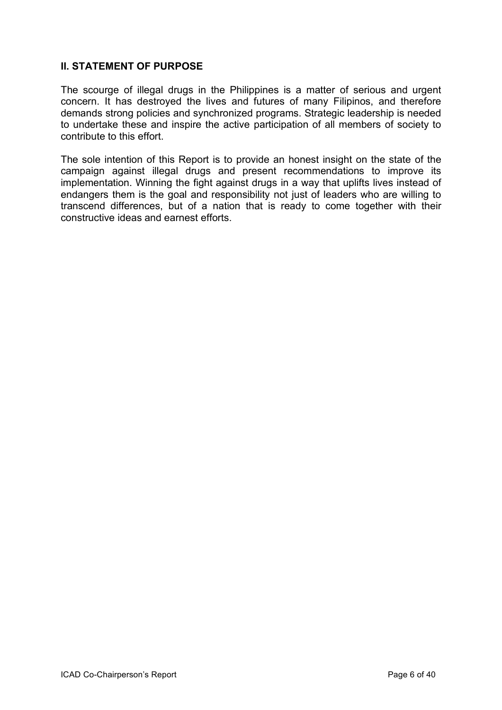#### **II. STATEMENT OF PURPOSE**

The scourge of illegal drugs in the Philippines is a matter of serious and urgent concern. It has destroyed the lives and futures of many Filipinos, and therefore demands strong policies and synchronized programs. Strategic leadership is needed to undertake these and inspire the active participation of all members of society to contribute to this effort.

The sole intention of this Report is to provide an honest insight on the state of the campaign against illegal drugs and present recommendations to improve its implementation. Winning the fight against drugs in a way that uplifts lives instead of endangers them is the goal and responsibility not just of leaders who are willing to transcend differences, but of a nation that is ready to come together with their constructive ideas and earnest efforts.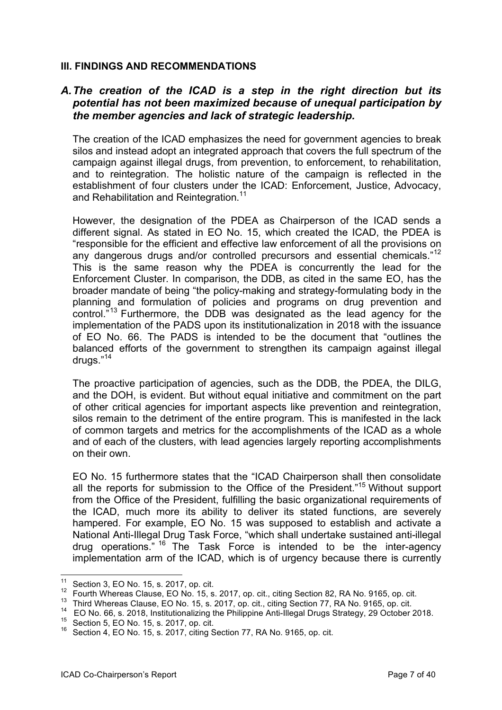#### **III. FINDINGS AND RECOMMENDATIONS**

# *A.The creation of the ICAD is a step in the right direction but its potential has not been maximized because of unequal participation by the member agencies and lack of strategic leadership.*

The creation of the ICAD emphasizes the need for government agencies to break silos and instead adopt an integrated approach that covers the full spectrum of the campaign against illegal drugs, from prevention, to enforcement, to rehabilitation, and to reintegration. The holistic nature of the campaign is reflected in the establishment of four clusters under the ICAD: Enforcement, Justice, Advocacy, and Rehabilitation and Reintegration.<sup>11</sup>

However, the designation of the PDEA as Chairperson of the ICAD sends a different signal. As stated in EO No. 15, which created the ICAD, the PDEA is "responsible for the efficient and effective law enforcement of all the provisions on any dangerous drugs and/or controlled precursors and essential chemicals."<sup>12</sup> This is the same reason why the PDEA is concurrently the lead for the Enforcement Cluster. In comparison, the DDB, as cited in the same EO, has the broader mandate of being "the policy-making and strategy-formulating body in the planning and formulation of policies and programs on drug prevention and control."<sup>13</sup> Furthermore, the DDB was designated as the lead agency for the implementation of the PADS upon its institutionalization in 2018 with the issuance of EO No. 66. The PADS is intended to be the document that "outlines the balanced efforts of the government to strengthen its campaign against illegal drugs."<sup>14</sup>

The proactive participation of agencies, such as the DDB, the PDEA, the DILG, and the DOH, is evident. But without equal initiative and commitment on the part of other critical agencies for important aspects like prevention and reintegration, silos remain to the detriment of the entire program. This is manifested in the lack of common targets and metrics for the accomplishments of the ICAD as a whole and of each of the clusters, with lead agencies largely reporting accomplishments on their own.

EO No. 15 furthermore states that the "ICAD Chairperson shall then consolidate all the reports for submission to the Office of the President."<sup>15</sup> Without support from the Office of the President, fulfilling the basic organizational requirements of the ICAD, much more its ability to deliver its stated functions, are severely hampered. For example, EO No. 15 was supposed to establish and activate a National Anti-Illegal Drug Task Force, "which shall undertake sustained anti-illegal drug operations." <sup>16</sup> The Task Force is intended to be the inter-agency implementation arm of the ICAD, which is of urgency because there is currently

<sup>&</sup>lt;sup>11</sup> Section 3, EO No. 15, s. 2017, op. cit.<br><sup>12</sup> Eauth Whereas Clause EO No. 15, s.

<sup>12</sup> Fourth Whereas Clause, EO No. 15, s. 2017, op. cit., citing Section 82, RA No. 9165, op. cit.

<sup>&</sup>lt;sup>13</sup> Third Whereas Clause, EO No. 15, s. 2017, op. cit., citing Section 77, RA No. 9165, op. cit.

<sup>14</sup> EO No. 66, s. 2018, Institutionalizing the Philippine Anti-Illegal Drugs Strategy, 29 October 2018.

<sup>15</sup> Section 5, EO No. 15, s. 2017, op. cit.

 $16$  Section 4, EO No. 15, s. 2017, citing Section 77, RA No. 9165, op. cit.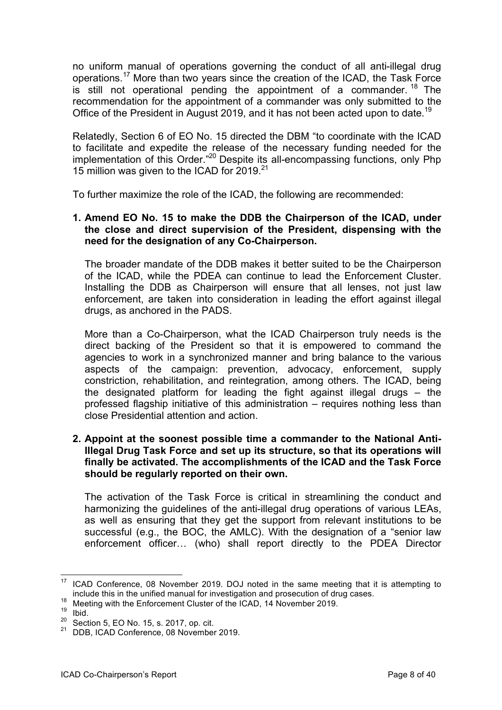no uniform manual of operations governing the conduct of all anti-illegal drug operations.<sup>17</sup> More than two years since the creation of the ICAD, the Task Force is still not operational pending the appointment of a commander.  $18$  The recommendation for the appointment of a commander was only submitted to the Office of the President in August 2019, and it has not been acted upon to date.<sup>19</sup>

Relatedly, Section 6 of EO No. 15 directed the DBM "to coordinate with the ICAD to facilitate and expedite the release of the necessary funding needed for the implementation of this Order."<sup>20</sup> Despite its all-encompassing functions, only Php 15 million was given to the ICAD for 2019.<sup>21</sup>

To further maximize the role of the ICAD, the following are recommended:

#### **1. Amend EO No. 15 to make the DDB the Chairperson of the ICAD, under the close and direct supervision of the President, dispensing with the need for the designation of any Co-Chairperson.**

The broader mandate of the DDB makes it better suited to be the Chairperson of the ICAD, while the PDEA can continue to lead the Enforcement Cluster. Installing the DDB as Chairperson will ensure that all lenses, not just law enforcement, are taken into consideration in leading the effort against illegal drugs, as anchored in the PADS.

More than a Co-Chairperson, what the ICAD Chairperson truly needs is the direct backing of the President so that it is empowered to command the agencies to work in a synchronized manner and bring balance to the various aspects of the campaign: prevention, advocacy, enforcement, supply constriction, rehabilitation, and reintegration, among others. The ICAD, being the designated platform for leading the fight against illegal drugs – the professed flagship initiative of this administration – requires nothing less than close Presidential attention and action.

#### **2. Appoint at the soonest possible time a commander to the National Anti-Illegal Drug Task Force and set up its structure, so that its operations will finally be activated. The accomplishments of the ICAD and the Task Force should be regularly reported on their own.**

The activation of the Task Force is critical in streamlining the conduct and harmonizing the guidelines of the anti-illegal drug operations of various LEAs, as well as ensuring that they get the support from relevant institutions to be successful (e.g., the BOC, the AMLC). With the designation of a "senior law enforcement officer… (who) shall report directly to the PDEA Director

<sup>17</sup> ICAD Conference, <sup>08</sup> November 2019. DOJ noted in the same meeting that it is attempting to include this in the unified manual for investigation and prosecution of drug cases.

<sup>&</sup>lt;sup>18</sup> Meeting with the Enforcement Cluster of the ICAD, 14 November 2019.

 $\frac{19}{20}$  Ibid.

 $\frac{20}{21}$  Section 5, EO No. 15, s. 2017, op. cit.<br> $\frac{21}{21}$  DDB ICAD Conference 08 November

DDB, ICAD Conference, 08 November 2019.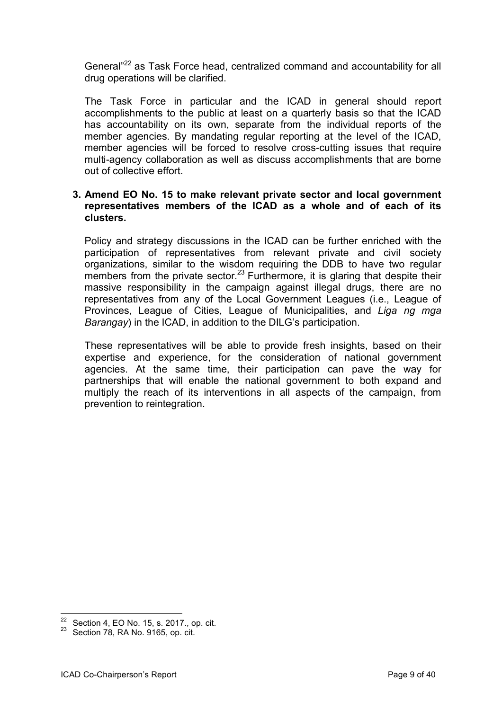General<sup>"22</sup> as Task Force head, centralized command and accountability for all drug operations will be clarified.

The Task Force in particular and the ICAD in general should report accomplishments to the public at least on a quarterly basis so that the ICAD has accountability on its own, separate from the individual reports of the member agencies. By mandating regular reporting at the level of the ICAD, member agencies will be forced to resolve cross-cutting issues that require multi-agency collaboration as well as discuss accomplishments that are borne out of collective effort.

#### **3. Amend EO No. 15 to make relevant private sector and local government representatives members of the ICAD as a whole and of each of its clusters.**

Policy and strategy discussions in the ICAD can be further enriched with the participation of representatives from relevant private and civil society organizations, similar to the wisdom requiring the DDB to have two regular members from the private sector.<sup>23</sup> Furthermore, it is glaring that despite their massive responsibility in the campaign against illegal drugs, there are no representatives from any of the Local Government Leagues (i.e., League of Provinces, League of Cities, League of Municipalities, and *Liga ng mga Barangay*) in the ICAD, in addition to the DILG's participation.

These representatives will be able to provide fresh insights, based on their expertise and experience, for the consideration of national government agencies. At the same time, their participation can pave the way for partnerships that will enable the national government to both expand and multiply the reach of its interventions in all aspects of the campaign, from prevention to reintegration.

 $22$  Section 4, EO No. 15, s. 2017., op. cit.

 $23$  Section 78, RA No. 9165, op. cit.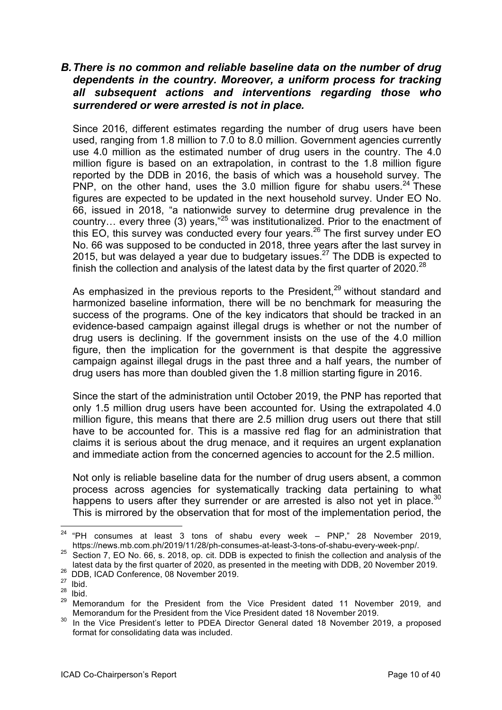# *B.There is no common and reliable baseline data on the number of drug dependents in the country. Moreover, a uniform process for tracking all subsequent actions and interventions regarding those who surrendered or were arrested is not in place.*

Since 2016, different estimates regarding the number of drug users have been used, ranging from 1.8 million to 7.0 to 8.0 million. Government agencies currently use 4.0 million as the estimated number of drug users in the country. The 4.0 million figure is based on an extrapolation, in contrast to the 1.8 million figure reported by the DDB in 2016, the basis of which was a household survey. The PNP, on the other hand, uses the 3.0 million figure for shabu users.  $24$  These figures are expected to be updated in the next household survey. Under EO No. 66, issued in 2018, "a nationwide survey to determine drug prevalence in the country… every three (3) years,"<sup>25</sup> was institutionalized. Prior to the enactment of this EO, this survey was conducted every four years.<sup>26</sup> The first survey under EO No. 66 was supposed to be conducted in 2018, three years after the last survey in 2015, but was delayed a year due to budgetary issues.<sup>27</sup> The DDB is expected to finish the collection and analysis of the latest data by the first quarter of 2020.<sup>28</sup>

As emphasized in the previous reports to the President.<sup>29</sup> without standard and harmonized baseline information, there will be no benchmark for measuring the success of the programs. One of the key indicators that should be tracked in an evidence-based campaign against illegal drugs is whether or not the number of drug users is declining. If the government insists on the use of the 4.0 million figure, then the implication for the government is that despite the aggressive campaign against illegal drugs in the past three and a half years, the number of drug users has more than doubled given the 1.8 million starting figure in 2016.

Since the start of the administration until October 2019, the PNP has reported that only 1.5 million drug users have been accounted for. Using the extrapolated 4.0 million figure, this means that there are 2.5 million drug users out there that still have to be accounted for. This is a massive red flag for an administration that claims it is serious about the drug menace, and it requires an urgent explanation and immediate action from the concerned agencies to account for the 2.5 million.

Not only is reliable baseline data for the number of drug users absent, a common process across agencies for systematically tracking data pertaining to what happens to users after they surrender or are arrested is also not yet in place.<sup>30</sup> This is mirrored by the observation that for most of the implementation period, the

 $24$  "PH consumes at least 3 tons of shabu every week – PNP," 28 November 2019, https://news.mb.com.ph/2019/11/28/ph-consumes-at-least-3-tons-of-shabu-every-week-pnp/.<br><sup>25</sup> Section 7, EO No. 66, s. 2018, op. cit. DDB is expected to finish the collection and analysis of the

latest data by the first quarter of 2020, as presented in the meeting with DDB, 20 November 2019.

<sup>&</sup>lt;sup>26</sup> DDB, ICAD Conference, 08 November 2019.

 $\frac{27}{28}$  Ibid.

Ibid.

<sup>29</sup> Memorandum for the President from the Vice President dated 11 November 2019, and Memorandum for the President from the Vice President dated 18 November 2019.

<sup>30</sup> In the Vice President's letter to PDEA Director General dated 18 November 2019, a proposed format for consolidating data was included.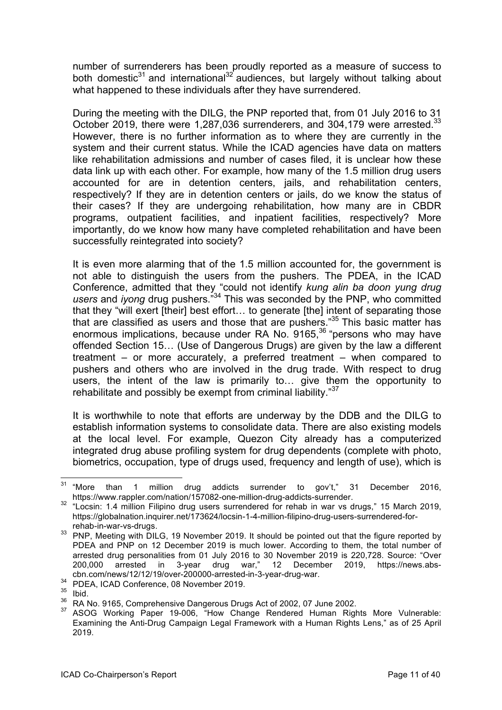number of surrenderers has been proudly reported as a measure of success to both domestic $31$  and international<sup>32</sup> audiences, but largely without talking about what happened to these individuals after they have surrendered.

During the meeting with the DILG, the PNP reported that, from 01 July 2016 to 31 October 2019, there were 1,287,036 surrenderers, and 304,179 were arrested.<sup>33</sup> However, there is no further information as to where they are currently in the system and their current status. While the ICAD agencies have data on matters like rehabilitation admissions and number of cases filed, it is unclear how these data link up with each other. For example, how many of the 1.5 million drug users accounted for are in detention centers, jails, and rehabilitation centers, respectively? If they are in detention centers or jails, do we know the status of their cases? If they are undergoing rehabilitation, how many are in CBDR programs, outpatient facilities, and inpatient facilities, respectively? More importantly, do we know how many have completed rehabilitation and have been successfully reintegrated into society?

It is even more alarming that of the 1.5 million accounted for, the government is not able to distinguish the users from the pushers. The PDEA, in the ICAD Conference, admitted that they "could not identify *kung alin ba doon yung drug users* and *iyong* drug pushers."34 This was seconded by the PNP, who committed that they "will exert [their] best effort… to generate [the] intent of separating those that are classified as users and those that are pushers."<sup>35</sup> This basic matter has enormous implications, because under RA No. 9165,<sup>36</sup> "persons who may have offended Section 15… (Use of Dangerous Drugs) are given by the law a different treatment – or more accurately, a preferred treatment – when compared to pushers and others who are involved in the drug trade. With respect to drug users, the intent of the law is primarily to… give them the opportunity to rehabilitate and possibly be exempt from criminal liability."<sup>37</sup>

It is worthwhile to note that efforts are underway by the DDB and the DILG to establish information systems to consolidate data. There are also existing models at the local level. For example, Quezon City already has a computerized integrated drug abuse profiling system for drug dependents (complete with photo, biometrics, occupation, type of drugs used, frequency and length of use), which is

 $31$  "More than 1 million drug addicts surrender to gov't," 31 December 2016,

https://www.rappler.com/nation/157082-one-million-drug-addicts-surrender.<br><sup>32</sup> "Locsin: 1.4 million Filipino drug users surrendered for rehab in war vs drugs," 15 March 2019, https://globalnation.inquirer.net/173624/locsin-1-4-million-filipino-drug-users-surrendered-for-

rehab-in-war-vs-drugs.<br><sup>33</sup> PNP, Meeting with DILG, 19 November 2019. It should be pointed out that the figure reported by PDEA and PNP on 12 December 2019 is much lower. According to them, the total number of arrested drug personalities from 01 July 2016 to 30 November 2019 is 220,728. Source: "Over 200,000 arrested in 3-year drug war," 12 December 2019, https://news.abscbn.com/news/12/12/19/over-200000-arrested-in-3-year-drug-war.<br><sup>34</sup> PDEA, ICAD Conference, 08 November 2019.

Ibid.

<sup>36</sup> RA No. 9165, Comprehensive Dangerous Drugs Act of 2002, 07 June 2002.

ASOG Working Paper 19-006, "How Change Rendered Human Rights More Vulnerable: Examining the Anti-Drug Campaign Legal Framework with a Human Rights Lens," as of 25 April 2019.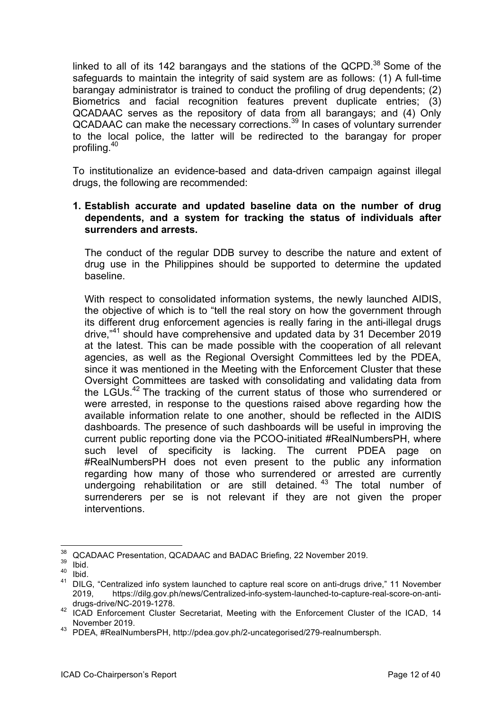linked to all of its 142 barangays and the stations of the QCPD. $38$  Some of the safeguards to maintain the integrity of said system are as follows: (1) A full-time barangay administrator is trained to conduct the profiling of drug dependents; (2) Biometrics and facial recognition features prevent duplicate entries; (3) QCADAAC serves as the repository of data from all barangays; and (4) Only QCADAAC can make the necessary corrections.<sup>39</sup> In cases of voluntary surrender to the local police, the latter will be redirected to the barangay for proper profiling.40

To institutionalize an evidence-based and data-driven campaign against illegal drugs, the following are recommended:

#### **1. Establish accurate and updated baseline data on the number of drug dependents, and a system for tracking the status of individuals after surrenders and arrests.**

The conduct of the regular DDB survey to describe the nature and extent of drug use in the Philippines should be supported to determine the updated baseline.

With respect to consolidated information systems, the newly launched AIDIS, the objective of which is to "tell the real story on how the government through its different drug enforcement agencies is really faring in the anti-illegal drugs drive,"<sup>41</sup> should have comprehensive and updated data by 31 December 2019 at the latest. This can be made possible with the cooperation of all relevant agencies, as well as the Regional Oversight Committees led by the PDEA, since it was mentioned in the Meeting with the Enforcement Cluster that these Oversight Committees are tasked with consolidating and validating data from the LGUs.<sup>42</sup> The tracking of the current status of those who surrendered or were arrested, in response to the questions raised above regarding how the available information relate to one another, should be reflected in the AIDIS dashboards. The presence of such dashboards will be useful in improving the current public reporting done via the PCOO-initiated #RealNumbersPH, where such level of specificity is lacking. The current PDEA page on #RealNumbersPH does not even present to the public any information regarding how many of those who surrendered or arrested are currently undergoing rehabilitation or are still detained.<sup>43</sup> The total number of surrenderers per se is not relevant if they are not given the proper interventions.

 $\frac{38}{39}$  QCADAAC Presentation, QCADAAC and BADAC Briefing, 22 November 2019.

 $\frac{39}{40}$  Ibid.

<sup>&</sup>lt;sup>40</sup> Ibid.<br><sup>41</sup> DILC

<sup>41</sup> DILG, "Centralized info system launched to capture real score on anti-drugs drive," 11 November 2019, https://dilg.gov.ph/news/Centralized-info-system-launched-to-capture-real-score-on-antidrugs-drive/NC-2019-1278.

<sup>42</sup> ICAD Enforcement Cluster Secretariat, Meeting with the Enforcement Cluster of the ICAD, 14 November 2019.

<sup>43</sup> PDEA, #RealNumbersPH, http://pdea.gov.ph/2-uncategorised/279-realnumbersph.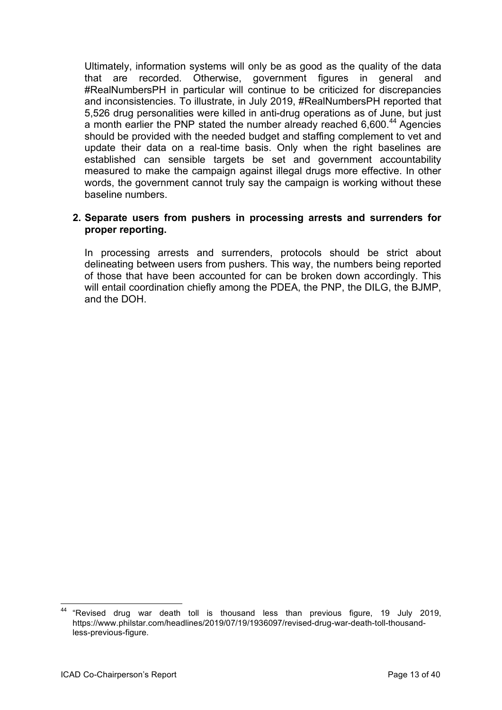Ultimately, information systems will only be as good as the quality of the data that are recorded. Otherwise, government figures in general and #RealNumbersPH in particular will continue to be criticized for discrepancies and inconsistencies. To illustrate, in July 2019, #RealNumbersPH reported that 5,526 drug personalities were killed in anti-drug operations as of June, but just a month earlier the PNP stated the number already reached 6,600.<sup>44</sup> Agencies should be provided with the needed budget and staffing complement to vet and update their data on a real-time basis. Only when the right baselines are established can sensible targets be set and government accountability measured to make the campaign against illegal drugs more effective. In other words, the government cannot truly say the campaign is working without these baseline numbers.

#### **2. Separate users from pushers in processing arrests and surrenders for proper reporting.**

In processing arrests and surrenders, protocols should be strict about delineating between users from pushers. This way, the numbers being reported of those that have been accounted for can be broken down accordingly. This will entail coordination chiefly among the PDEA, the PNP, the DILG, the BJMP, and the DOH.

<sup>44</sup> "Revised drug war death toll is thousand less than previous figure, <sup>19</sup> July 2019, https://www.philstar.com/headlines/2019/07/19/1936097/revised-drug-war-death-toll-thousandless-previous-figure.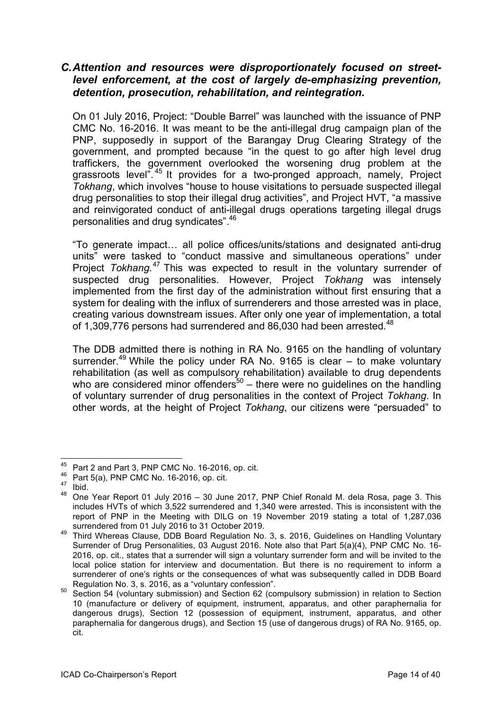# *C.Attention and resources were disproportionately focused on streetlevel enforcement, at the cost of largely de-emphasizing prevention, detention, prosecution, rehabilitation, and reintegration.*

On 01 July 2016, Project: "Double Barrel" was launched with the issuance of PNP CMC No. 16-2016. It was meant to be the anti-illegal drug campaign plan of the PNP, supposedly in support of the Barangay Drug Clearing Strategy of the government, and prompted because "in the quest to go after high level drug traffickers, the government overlooked the worsening drug problem at the grassroots level".<sup>45</sup> It provides for a two-pronged approach, namely, Project *Tokhang*, which involves "house to house visitations to persuade suspected illegal drug personalities to stop their illegal drug activities", and Project HVT, "a massive and reinvigorated conduct of anti-illegal drugs operations targeting illegal drugs personalities and drug syndicates".<sup>46</sup>

"To generate impact… all police offices/units/stations and designated anti-drug units" were tasked to "conduct massive and simultaneous operations" under Project *Tokhang*. <sup>47</sup> This was expected to result in the voluntary surrender of suspected drug personalities. However, Project *Tokhang* was intensely implemented from the first day of the administration without first ensuring that a system for dealing with the influx of surrenderers and those arrested was in place, creating various downstream issues. After only one year of implementation, a total of 1,309,776 persons had surrendered and 86,030 had been arrested.<sup>48</sup>

The DDB admitted there is nothing in RA No. 9165 on the handling of voluntary surrender.<sup>49</sup> While the policy under RA No. 9165 is clear  $-$  to make voluntary rehabilitation (as well as compulsory rehabilitation) available to drug dependents who are considered minor offenders<sup>50</sup> – there were no quidelines on the handling of voluntary surrender of drug personalities in the context of Project *Tokhang*. In other words, at the height of Project *Tokhang*, our citizens were "persuaded" to

<sup>&</sup>lt;sup>45</sup> Part 2 and Part 3, PNP CMC No. 16-2016, op. cit.

 $^{46}$  Part 5(a), PNP CMC No. 16-2016, op. cit.

 $\frac{47}{48}$  Ibid.

<sup>48</sup> One Year Report 01 July 2016 – 30 June 2017, PNP Chief Ronald M. dela Rosa, page 3. This includes HVTs of which 3,522 surrendered and 1,340 were arrested. This is inconsistent with the report of PNP in the Meeting with DILG on 19 November 2019 stating a total of 1,287,036 surrendered from 01 July 2016 to 31 October 2019.

<sup>49</sup> Third Whereas Clause, DDB Board Regulation No. 3, s. 2016, Guidelines on Handling Voluntary Surrender of Drug Personalities, 03 August 2016. Note also that Part 5(a)(4), PNP CMC No. 16- 2016, op. cit., states that a surrender will sign a voluntary surrender form and will be invited to the local police station for interview and documentation. But there is no requirement to inform a surrenderer of one's rights or the consequences of what was subsequently called in DDB Board Regulation No. 3, s. 2016, as a "voluntary confession".

<sup>50</sup> Section 54 (voluntary submission) and Section 62 (compulsory submission) in relation to Section 10 (manufacture or delivery of equipment, instrument, apparatus, and other paraphernalia for dangerous drugs), Section 12 (possession of equipment, instrument, apparatus, and other paraphernalia for dangerous drugs), and Section 15 (use of dangerous drugs) of RA No. 9165, op. cit.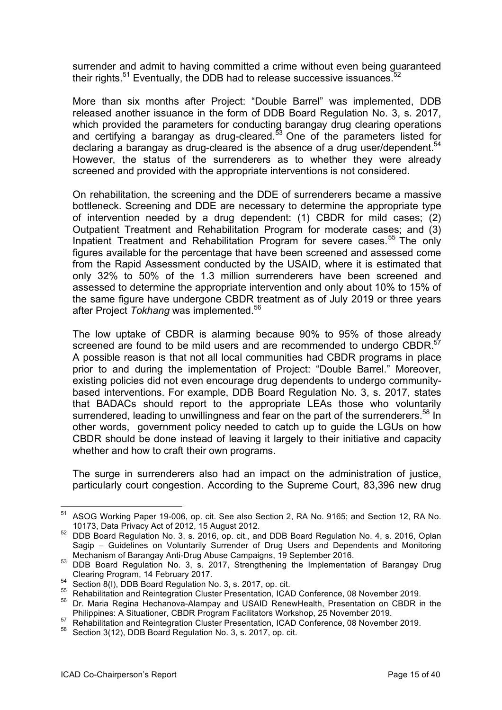surrender and admit to having committed a crime without even being guaranteed their rights. $51$  Eventually, the DDB had to release successive issuances. $52$ 

More than six months after Project: "Double Barrel" was implemented, DDB released another issuance in the form of DDB Board Regulation No. 3, s. 2017, which provided the parameters for conducting barangay drug clearing operations and certifying a barangay as drug-cleared.<sup>53</sup> One of the parameters listed for declaring a barangay as drug-cleared is the absence of a drug user/dependent.<sup>54</sup> However, the status of the surrenderers as to whether they were already screened and provided with the appropriate interventions is not considered.

On rehabilitation, the screening and the DDE of surrenderers became a massive bottleneck. Screening and DDE are necessary to determine the appropriate type of intervention needed by a drug dependent: (1) CBDR for mild cases; (2) Outpatient Treatment and Rehabilitation Program for moderate cases; and (3) Inpatient Treatment and Rehabilitation Program for severe cases.<sup>55</sup> The only figures available for the percentage that have been screened and assessed come from the Rapid Assessment conducted by the USAID, where it is estimated that only 32% to 50% of the 1.3 million surrenderers have been screened and assessed to determine the appropriate intervention and only about 10% to 15% of the same figure have undergone CBDR treatment as of July 2019 or three years after Project *Tokhang* was implemented.<sup>56</sup>

The low uptake of CBDR is alarming because 90% to 95% of those already screened are found to be mild users and are recommended to undergo CBDR.<sup>57</sup> A possible reason is that not all local communities had CBDR programs in place prior to and during the implementation of Project: "Double Barrel." Moreover, existing policies did not even encourage drug dependents to undergo communitybased interventions. For example, DDB Board Regulation No. 3, s. 2017, states that BADACs should report to the appropriate LEAs those who voluntarily surrendered, leading to unwillingness and fear on the part of the surrenderers.<sup>58</sup> In other words, government policy needed to catch up to guide the LGUs on how CBDR should be done instead of leaving it largely to their initiative and capacity whether and how to craft their own programs.

The surge in surrenderers also had an impact on the administration of justice, particularly court congestion. According to the Supreme Court, 83,396 new drug

<sup>51</sup> ASOG Working Paper 19-006, op. cit. See also Section 2, RA No. 9165; and Section 12, RA No. 10173, Data Privacy Act of 2012, 15 August 2012.

<sup>52</sup> DDB Board Regulation No. 3, s. 2016, op. cit., and DDB Board Regulation No. 4, s. 2016, Oplan Sagip – Guidelines on Voluntarily Surrender of Drug Users and Dependents and Monitoring Mechanism of Barangay Anti-Drug Abuse Campaigns, 19 September 2016.

<sup>53</sup> DDB Board Regulation No. 3, s. 2017, Strengthening the Implementation of Barangay Drug Clearing Program, 14 February 2017.

 $^{54}$  Section 8(I), DDB Board Regulation No. 3, s. 2017, op. cit.<br> $^{55}$  Bobabilitation and Beintegration Cluster Presentation JCAR

<sup>55</sup> Rehabilitation and Reintegration Cluster Presentation, ICAD Conference, 08 November 2019.

<sup>56</sup> Dr. Maria Regina Hechanova-Alampay and USAID RenewHealth, Presentation on CBDR in the Philippines: A Situationer, CBDR Program Facilitators Workshop, 25 November 2019.

<sup>57</sup> Rehabilitation and Reintegration Cluster Presentation, ICAD Conference, 08 November 2019.

<sup>58</sup> Section 3(12), DDB Board Regulation No. 3, s. 2017, op. cit.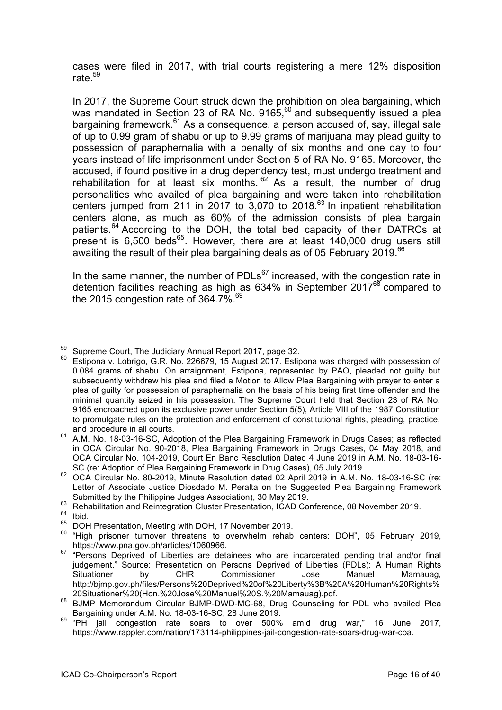cases were filed in 2017, with trial courts registering a mere 12% disposition rate. $59$ 

In 2017, the Supreme Court struck down the prohibition on plea bargaining, which was mandated in Section 23 of RA No. 9165.<sup>60</sup> and subsequently issued a plea bargaining framework. $61$  As a consequence, a person accused of, say, illegal sale of up to 0.99 gram of shabu or up to 9.99 grams of marijuana may plead guilty to possession of paraphernalia with a penalty of six months and one day to four years instead of life imprisonment under Section 5 of RA No. 9165. Moreover, the accused, if found positive in a drug dependency test, must undergo treatment and rehabilitation for at least six months.  $62$  As a result, the number of drug personalities who availed of plea bargaining and were taken into rehabilitation centers jumped from 211 in 2017 to  $3,070$  to 2018.<sup>63</sup> In inpatient rehabilitation centers alone, as much as 60% of the admission consists of plea bargain patients.<sup>64</sup> According to the DOH, the total bed capacity of their DATRCs at present is  $6,500$  beds<sup>65</sup>. However, there are at least  $140,000$  drug users still awaiting the result of their plea bargaining deals as of 05 February 2019.<sup>66</sup>

In the same manner, the number of PDLs $^{67}$  increased, with the congestion rate in detention facilities reaching as high as  $634\%$  in September  $2017^{68}$  compared to the 2015 congestion rate of 364.7%.<sup>69</sup>

<sup>&</sup>lt;sup>59</sup> Supreme Court, The Judiciary Annual Report 2017, page 32.

Estipona v. Lobrigo, G.R. No. 226679, 15 August 2017. Estipona was charged with possession of 0.084 grams of shabu. On arraignment, Estipona, represented by PAO, pleaded not guilty but subsequently withdrew his plea and filed a Motion to Allow Plea Bargaining with prayer to enter a plea of guilty for possession of paraphernalia on the basis of his being first time offender and the minimal quantity seized in his possession. The Supreme Court held that Section 23 of RA No. 9165 encroached upon its exclusive power under Section 5(5), Article VIII of the 1987 Constitution to promulgate rules on the protection and enforcement of constitutional rights, pleading, practice, and procedure in all courts.

<sup>61</sup> A.M. No. 18-03-16-SC, Adoption of the Plea Bargaining Framework in Drugs Cases; as reflected in OCA Circular No. 90-2018, Plea Bargaining Framework in Drugs Cases, 04 May 2018, and OCA Circular No. 104-2019, Court En Banc Resolution Dated 4 June 2019 in A.M. No. 18-03-16- SC (re: Adoption of Plea Bargaining Framework in Drug Cases), 05 July 2019.

<sup>62</sup> OCA Circular No. 80-2019, Minute Resolution dated 02 April 2019 in A.M. No. 18-03-16-SC (re: Letter of Associate Justice Diosdado M. Peralta on the Suggested Plea Bargaining Framework Submitted by the Philippine Judges Association), 30 May 2019.

<sup>63</sup> Rehabilitation and Reintegration Cluster Presentation, ICAD Conference, 08 November 2019.

 $^{64}$  Ibid.

DOH Presentation, Meeting with DOH, 17 November 2019.

<sup>66</sup> "High prisoner turnover threatens to overwhelm rehab centers: DOH", 05 February 2019,

https://www.pna.gov.ph/articles/1060966. <sup>67</sup> "Persons Deprived of Liberties are detainees who are incarcerated pending trial and/or final judgement." Source: Presentation on Persons Deprived of Liberties (PDLs): A Human Rights Situationer by CHR Commissioner Jose Manuel Mamauag, http://bjmp.gov.ph/files/Persons%20Deprived%20of%20Liberty%3B%20A%20Human%20Rights%

<sup>20</sup>Situationer%20(Hon.%20Jose%20Manuel%20S.%20Mamauag).pdf. <sup>68</sup> BJMP Memorandum Circular BJMP-DWD-MC-68, Drug Counseling for PDL who availed Plea Bargaining under A.M. No. 18-03-16-SC, 28 June 2019.

 $\frac{69}{2}$  "PH jail congestion rate soars to over 500% amid drug war," 16 June 2017, https://www.rappler.com/nation/173114-philippines-jail-congestion-rate-soars-drug-war-coa.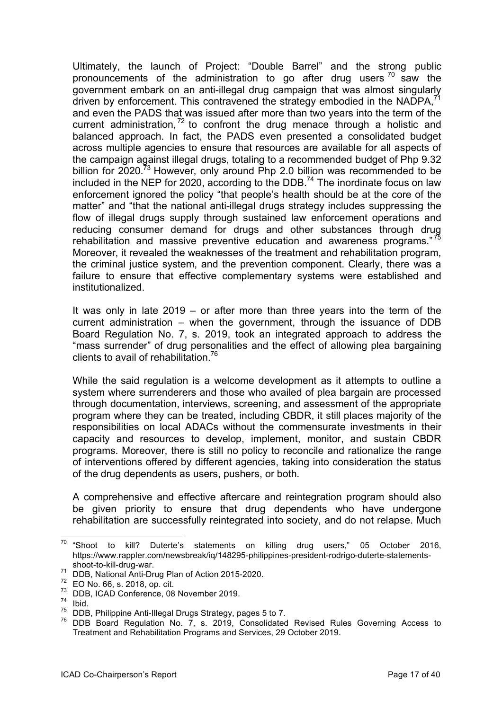Ultimately, the launch of Project: "Double Barrel" and the strong public pronouncements of the administration to go after drug users  $70^\circ$  saw the government embark on an anti-illegal drug campaign that was almost singularly driven by enforcement. This contravened the strategy embodied in the NADPA, $^7$ and even the PADS that was issued after more than two years into the term of the current administration,  $72$  to confront the drug menace through a holistic and balanced approach. In fact, the PADS even presented a consolidated budget across multiple agencies to ensure that resources are available for all aspects of the campaign against illegal drugs, totaling to a recommended budget of Php 9.32 billion for 2020.<sup>73</sup> However, only around Php 2.0 billion was recommended to be included in the NEP for 2020, according to the DDB.<sup>74</sup> The inordinate focus on law enforcement ignored the policy "that people's health should be at the core of the matter" and "that the national anti-illegal drugs strategy includes suppressing the flow of illegal drugs supply through sustained law enforcement operations and reducing consumer demand for drugs and other substances through drug rehabilitation and massive preventive education and awareness programs."<sup>75</sup> Moreover, it revealed the weaknesses of the treatment and rehabilitation program, the criminal justice system, and the prevention component. Clearly, there was a failure to ensure that effective complementary systems were established and institutionalized.

It was only in late 2019 – or after more than three years into the term of the current administration – when the government, through the issuance of DDB Board Regulation No. 7, s. 2019, took an integrated approach to address the "mass surrender" of drug personalities and the effect of allowing plea bargaining clients to avail of rehabilitation.76

While the said regulation is a welcome development as it attempts to outline a system where surrenderers and those who availed of plea bargain are processed through documentation, interviews, screening, and assessment of the appropriate program where they can be treated, including CBDR, it still places majority of the responsibilities on local ADACs without the commensurate investments in their capacity and resources to develop, implement, monitor, and sustain CBDR programs. Moreover, there is still no policy to reconcile and rationalize the range of interventions offered by different agencies, taking into consideration the status of the drug dependents as users, pushers, or both.

A comprehensive and effective aftercare and reintegration program should also be given priority to ensure that drug dependents who have undergone rehabilitation are successfully reintegrated into society, and do not relapse. Much

 $70$  "Shoot to kill? Duterte's statements on killing drug users," 05 October 2016, https://www.rappler.com/newsbreak/iq/148295-philippines-president-rodrigo-duterte-statements-

shoot-to-kill-drug-war.<br>
<sup>71</sup> DDB, National Anti-Drug Plan of Action 2015-2020.<br>
<sup>72</sup> EQ No. 66 s. 2018, on sit

 $\frac{72}{73}$  EO No. 66, s. 2018, op. cit.

DDB, ICAD Conference, 08 November 2019.

 $\frac{74}{75}$  Ibid.

DDB, Philippine Anti-Illegal Drugs Strategy, pages 5 to 7.

DDB Board Regulation No. 7, s. 2019, Consolidated Revised Rules Governing Access to Treatment and Rehabilitation Programs and Services, 29 October 2019.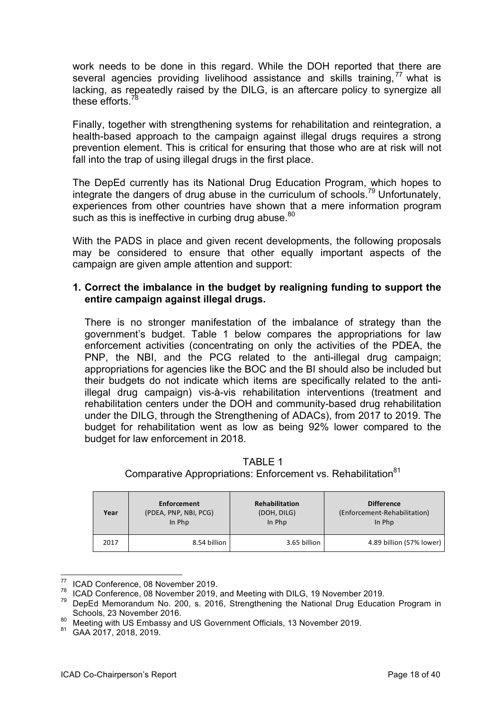work needs to be done in this regard. While the DOH reported that there are several agencies providing livelihood assistance and skills training,<sup>77</sup> what is lacking, as repeatedly raised by the DILG, is an aftercare policy to synergize all these efforts.<sup>7</sup>

Finally, together with strengthening systems for rehabilitation and reintegration, a health-based approach to the campaign against illegal drugs requires a strong prevention element. This is critical for ensuring that those who are at risk will not fall into the trap of using illegal drugs in the first place.

The DepEd currently has its National Drug Education Program, which hopes to integrate the dangers of drug abuse in the curriculum of schools.<sup>79</sup> Unfortunately, experiences from other countries have shown that a mere information program such as this is ineffective in curbing drug abuse.<sup>80</sup>

With the PADS in place and given recent developments, the following proposals may be considered to ensure that other equally important aspects of the campaign are given ample attention and support:

#### **1. Correct the imbalance in the budget by realigning funding to support the entire campaign against illegal drugs.**

There is no stronger manifestation of the imbalance of strategy than the government's budget. Table 1 below compares the appropriations for law enforcement activities (concentrating on only the activities of the PDEA, the PNP, the NBI, and the PCG related to the anti-illegal drug campaign; appropriations for agencies like the BOC and the BI should also be included but their budgets do not indicate which items are specifically related to the antiillegal drug campaign) vis-à-vis rehabilitation interventions (treatment and rehabilitation centers under the DOH and community-based drug rehabilitation under the DILG, through the Strengthening of ADACs), from 2017 to 2019. The budget for rehabilitation went as low as being 92% lower compared to the budget for law enforcement in 2018.

| Year | Enforcement           | <b>Rehabilitation</b> | <b>Difference</b>            |
|------|-----------------------|-----------------------|------------------------------|
|      | (PDEA, PNP, NBI, PCG) | (DOH, DILG)           | (Enforcement-Rehabilitation) |
|      | In Php                | In Php                | In Php                       |
| 2017 | 8.54 billion          | 3.65 billion          | 4.89 billion (57% lower)     |

TABLE 1 Comparative Appropriations: Enforcement vs. Rehabilitation<sup>81</sup>

 $^{77}$  ICAD Conference, 08 November 2019.

ICAD Conference, 08 November 2019, and Meeting with DILG, 19 November 2019.

 $79$  DepEd Memorandum No. 200, s. 2016, Strengthening the National Drug Education Program in Schools, 23 November 2016.

<sup>80</sup> Meeting with US Embassy and US Government Officials, 13 November 2019.

<sup>81</sup> GAA 2017, 2018, 2019.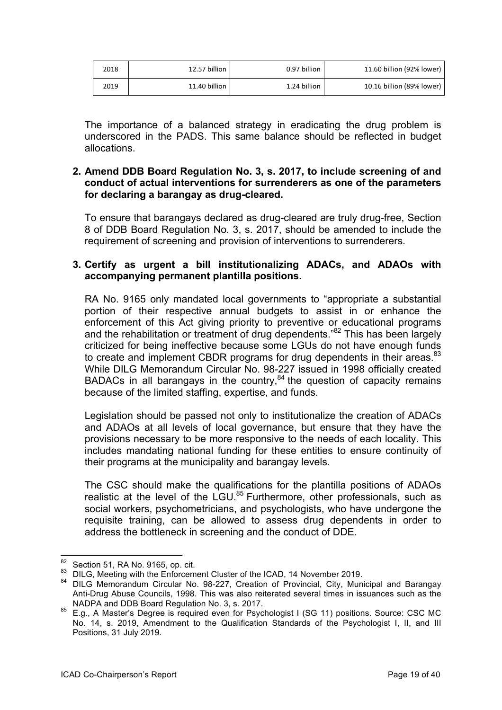| 2018 | 12.57 billion | 0.97 billion | 11.60 billion (92% lower) |
|------|---------------|--------------|---------------------------|
| 2019 | 11.40 billion | 1.24 billion | 10.16 billion (89% lower) |

The importance of a balanced strategy in eradicating the drug problem is underscored in the PADS. This same balance should be reflected in budget allocations.

#### **2. Amend DDB Board Regulation No. 3, s. 2017, to include screening of and conduct of actual interventions for surrenderers as one of the parameters for declaring a barangay as drug-cleared.**

To ensure that barangays declared as drug-cleared are truly drug-free, Section 8 of DDB Board Regulation No. 3, s. 2017, should be amended to include the requirement of screening and provision of interventions to surrenderers.

#### **3. Certify as urgent a bill institutionalizing ADACs, and ADAOs with accompanying permanent plantilla positions.**

RA No. 9165 only mandated local governments to "appropriate a substantial portion of their respective annual budgets to assist in or enhance the enforcement of this Act giving priority to preventive or educational programs and the rehabilitation or treatment of drug dependents."82 This has been largely criticized for being ineffective because some LGUs do not have enough funds to create and implement CBDR programs for drug dependents in their areas.<sup>83</sup> While DILG Memorandum Circular No. 98-227 issued in 1998 officially created BADACs in all barangays in the country, $84$  the question of capacity remains because of the limited staffing, expertise, and funds.

Legislation should be passed not only to institutionalize the creation of ADACs and ADAOs at all levels of local governance, but ensure that they have the provisions necessary to be more responsive to the needs of each locality. This includes mandating national funding for these entities to ensure continuity of their programs at the municipality and barangay levels.

The CSC should make the qualifications for the plantilla positions of ADAOs realistic at the level of the LGU.<sup>85</sup> Furthermore, other professionals, such as social workers, psychometricians, and psychologists, who have undergone the requisite training, can be allowed to assess drug dependents in order to address the bottleneck in screening and the conduct of DDE.

<sup>&</sup>lt;sup>82</sup> Section 51, RA No. 9165, op. cit.<br><sup>83</sup> DU G. Meeting with the Enforcem

DILG, Meeting with the Enforcement Cluster of the ICAD, 14 November 2019.

<sup>84</sup> DILG Memorandum Circular No. 98-227, Creation of Provincial, City, Municipal and Barangay Anti-Drug Abuse Councils, 1998. This was also reiterated several times in issuances such as the NADPA and DDB Board Regulation No. 3, s. 2017.

<sup>85</sup> E.g., A Master's Degree is required even for Psychologist I (SG 11) positions. Source: CSC MC No. 14, s. 2019, Amendment to the Qualification Standards of the Psychologist I, II, and III Positions, 31 July 2019.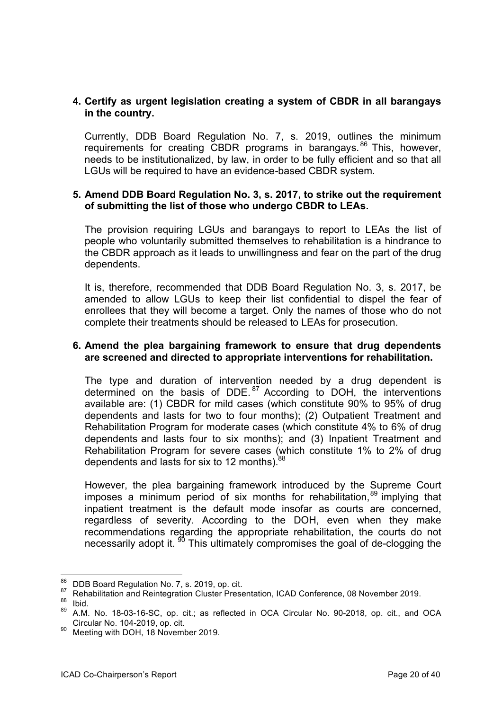#### **4. Certify as urgent legislation creating a system of CBDR in all barangays in the country.**

Currently, DDB Board Regulation No. 7, s. 2019, outlines the minimum requirements for creating CBDR programs in barangays.<sup>86</sup> This, however, needs to be institutionalized, by law, in order to be fully efficient and so that all LGUs will be required to have an evidence-based CBDR system.

#### **5. Amend DDB Board Regulation No. 3, s. 2017, to strike out the requirement of submitting the list of those who undergo CBDR to LEAs.**

The provision requiring LGUs and barangays to report to LEAs the list of people who voluntarily submitted themselves to rehabilitation is a hindrance to the CBDR approach as it leads to unwillingness and fear on the part of the drug dependents.

It is, therefore, recommended that DDB Board Regulation No. 3, s. 2017, be amended to allow LGUs to keep their list confidential to dispel the fear of enrollees that they will become a target. Only the names of those who do not complete their treatments should be released to LEAs for prosecution.

#### **6. Amend the plea bargaining framework to ensure that drug dependents are screened and directed to appropriate interventions for rehabilitation.**

The type and duration of intervention needed by a drug dependent is determined on the basis of DDE. $^{87}$  According to DOH, the interventions available are: (1) CBDR for mild cases (which constitute 90% to 95% of drug dependents and lasts for two to four months); (2) Outpatient Treatment and Rehabilitation Program for moderate cases (which constitute 4% to 6% of drug dependents and lasts four to six months); and (3) Inpatient Treatment and Rehabilitation Program for severe cases (which constitute 1% to 2% of drug dependents and lasts for six to 12 months).<sup>88</sup>

However, the plea bargaining framework introduced by the Supreme Court imposes a minimum period of six months for rehabilitation,  $89$  implying that inpatient treatment is the default mode insofar as courts are concerned, regardless of severity. According to the DOH, even when they make recommendations regarding the appropriate rehabilitation, the courts do not necessarily adopt it.  $\frac{90}{10}$  This ultimately compromises the goal of de-clogging the

 $^{86}$  DDB Board Regulation No. 7, s. 2019, op. cit.

<sup>87</sup> Rehabilitation and Reintegration Cluster Presentation, ICAD Conference, 08 November 2019. Ibid.

A.M. No. 18-03-16-SC, op. cit.; as reflected in OCA Circular No. 90-2018, op. cit., and OCA Circular No. 104-2019, op. cit.

<sup>&</sup>lt;sup>90</sup> Meeting with DOH, 18 November 2019.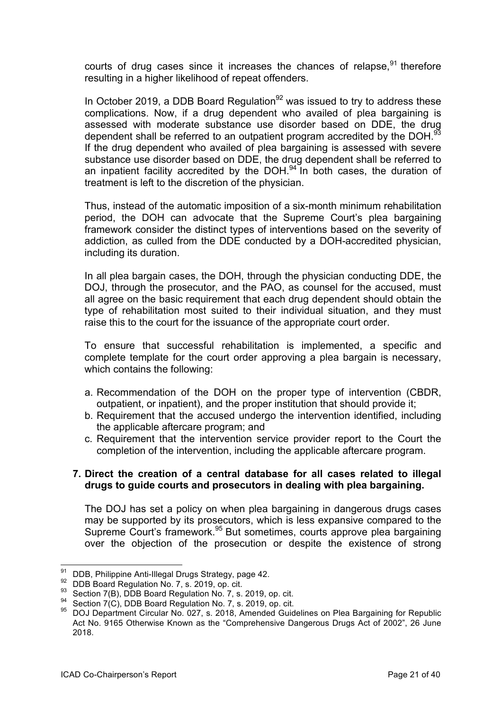courts of drug cases since it increases the chances of relapse.  $91$  therefore resulting in a higher likelihood of repeat offenders.

In October 2019, a DDB Board Regulation<sup>92</sup> was issued to try to address these complications. Now, if a drug dependent who availed of plea bargaining is assessed with moderate substance use disorder based on DDE, the drug dependent shall be referred to an outpatient program accredited by the DOH.<sup>93</sup> If the drug dependent who availed of plea bargaining is assessed with severe substance use disorder based on DDE, the drug dependent shall be referred to an inpatient facility accredited by the DOH.<sup>94</sup> In both cases, the duration of treatment is left to the discretion of the physician.

Thus, instead of the automatic imposition of a six-month minimum rehabilitation period, the DOH can advocate that the Supreme Court's plea bargaining framework consider the distinct types of interventions based on the severity of addiction, as culled from the DDE conducted by a DOH-accredited physician, including its duration.

In all plea bargain cases, the DOH, through the physician conducting DDE, the DOJ, through the prosecutor, and the PAO, as counsel for the accused, must all agree on the basic requirement that each drug dependent should obtain the type of rehabilitation most suited to their individual situation, and they must raise this to the court for the issuance of the appropriate court order.

To ensure that successful rehabilitation is implemented, a specific and complete template for the court order approving a plea bargain is necessary, which contains the following:

- a. Recommendation of the DOH on the proper type of intervention (CBDR, outpatient, or inpatient), and the proper institution that should provide it;
- b. Requirement that the accused undergo the intervention identified, including the applicable aftercare program; and
- c. Requirement that the intervention service provider report to the Court the completion of the intervention, including the applicable aftercare program.

#### **7. Direct the creation of a central database for all cases related to illegal drugs to guide courts and prosecutors in dealing with plea bargaining.**

The DOJ has set a policy on when plea bargaining in dangerous drugs cases may be supported by its prosecutors, which is less expansive compared to the Supreme Court's framework.<sup>95</sup> But sometimes, courts approve plea bargaining over the objection of the prosecution or despite the existence of strong

<sup>&</sup>lt;sup>91</sup> DDB, Philippine Anti-Illegal Drugs Strategy, page 42.<br><sup>92</sup> DDB Board Pequlation No. 7, s. 2019, op. cit.

<sup>&</sup>lt;sup>92</sup> DDB Board Regulation No. 7, s. 2019, op. cit.

Section 7(B), DDB Board Regulation No. 7, s. 2019, op. cit.

Section 7(C), DDB Board Regulation No. 7, s. 2019, op. cit.

<sup>95</sup> DOJ Department Circular No. 027, s. 2018, Amended Guidelines on Plea Bargaining for Republic Act No. 9165 Otherwise Known as the "Comprehensive Dangerous Drugs Act of 2002", 26 June 2018.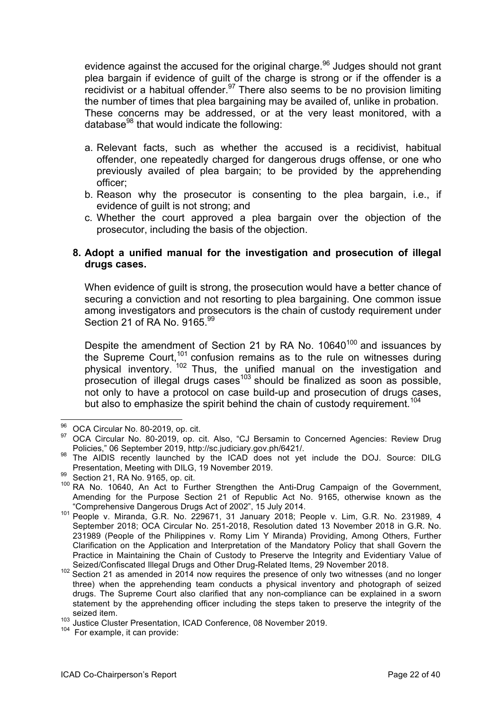evidence against the accused for the original charge.<sup>96</sup> Judges should not grant plea bargain if evidence of guilt of the charge is strong or if the offender is a recidivist or a habitual offender.<sup>97</sup> There also seems to be no provision limiting the number of times that plea bargaining may be availed of, unlike in probation. These concerns may be addressed, or at the very least monitored, with a database $98$  that would indicate the following:

- a. Relevant facts, such as whether the accused is a recidivist, habitual offender, one repeatedly charged for dangerous drugs offense, or one who previously availed of plea bargain; to be provided by the apprehending officer;
- b. Reason why the prosecutor is consenting to the plea bargain, i.e., if evidence of guilt is not strong; and
- c. Whether the court approved a plea bargain over the objection of the prosecutor, including the basis of the objection.

#### **8. Adopt a unified manual for the investigation and prosecution of illegal drugs cases.**

When evidence of guilt is strong, the prosecution would have a better chance of securing a conviction and not resorting to plea bargaining. One common issue among investigators and prosecutors is the chain of custody requirement under Section 21 of RA No. 9165.99

Despite the amendment of Section 21 by RA No.  $10640^{100}$  and issuances by the Supreme Court,<sup>101</sup> confusion remains as to the rule on witnesses during physical inventory. <sup>102</sup> Thus, the unified manual on the investigation and prosecution of illegal drugs cases<sup>103</sup> should be finalized as soon as possible, not only to have a protocol on case build-up and prosecution of drugs cases, but also to emphasize the spirit behind the chain of custody requirement.<sup>104</sup>

 $^{96}$  OCA Circular No. 80-2019, op. cit.

OCA Circular No. 80-2019, op. cit. Also, "CJ Bersamin to Concerned Agencies: Review Drug Policies," 06 September 2019, http://sc.judiciary.gov.ph/6421/.

Policies," <sup>06</sup> September 2019, http://sc.judiciary.gov.ph/6421/. <sup>98</sup> The AIDIS recently launched by the ICAD does not yet include the DOJ. Source: DILG Presentation, Meeting with DILG, 19 November 2019.

<sup>99</sup> Section 21, RA No. 9165, op. cit.

<sup>&</sup>lt;sup>100</sup> RA No. 10640, An Act to Further Strengthen the Anti-Drug Campaign of the Government, Amending for the Purpose Section 21 of Republic Act No. 9165, otherwise known as the "Comprehensive Dangerous Drugs Act of 2002", 15 July 2014.

<sup>101</sup> People v. Miranda, G.R. No. 229671, 31 January 2018; People v. Lim, G.R. No. 231989, 4 September 2018; OCA Circular No. 251-2018, Resolution dated 13 November 2018 in G.R. No. 231989 (People of the Philippines v. Romy Lim Y Miranda) Providing, Among Others, Further Clarification on the Application and Interpretation of the Mandatory Policy that shall Govern the Practice in Maintaining the Chain of Custody to Preserve the Integrity and Evidentiary Value of Seized/Confiscated Illegal Drugs and Other Drug-Related Items, 29 November 2018.

<sup>102</sup> Section 21 as amended in 2014 now requires the presence of only two witnesses (and no longer three) when the apprehending team conducts a physical inventory and photograph of seized drugs. The Supreme Court also clarified that any non-compliance can be explained in a sworn statement by the apprehending officer including the steps taken to preserve the integrity of the seized item.

<sup>&</sup>lt;sup>103</sup> Justice Cluster Presentation, ICAD Conference, 08 November 2019.

<sup>104</sup> For example, it can provide: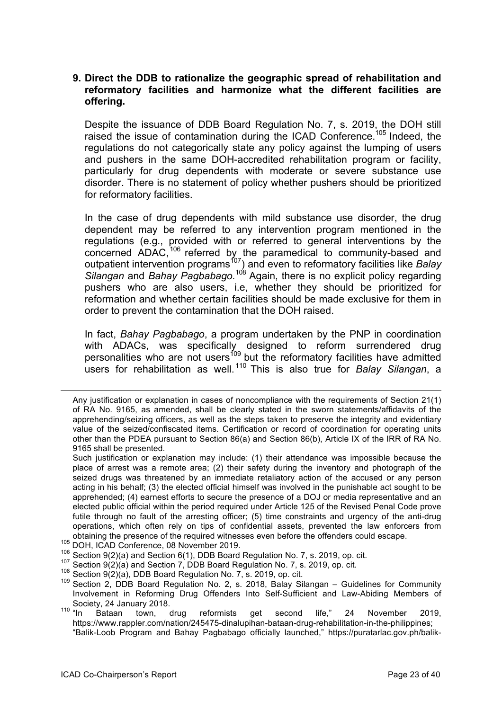#### **9. Direct the DDB to rationalize the geographic spread of rehabilitation and reformatory facilities and harmonize what the different facilities are offering.**

Despite the issuance of DDB Board Regulation No. 7, s. 2019, the DOH still raised the issue of contamination during the ICAD Conference.<sup>105</sup> Indeed, the regulations do not categorically state any policy against the lumping of users and pushers in the same DOH-accredited rehabilitation program or facility, particularly for drug dependents with moderate or severe substance use disorder. There is no statement of policy whether pushers should be prioritized for reformatory facilities.

In the case of drug dependents with mild substance use disorder, the drug dependent may be referred to any intervention program mentioned in the regulations (e.g., provided with or referred to general interventions by the concerned ADAC,<sup>106</sup> referred by the paramedical to community-based and outpatient intervention programs<sup>107</sup>) and even to reformatory facilities like *Balay Silangan* and *Bahay Pagbabago.*<sup>108</sup> Again, there is no explicit policy regarding pushers who are also users, i.e, whether they should be prioritized for reformation and whether certain facilities should be made exclusive for them in order to prevent the contamination that the DOH raised.

In fact, *Bahay Pagbabago*, a program undertaken by the PNP in coordination with ADACs, was specifically designed to reform surrendered drug personalities who are not users<sup>109</sup> but the reformatory facilities have admitted users for rehabilitation as well. <sup>110</sup> This is also true for *Balay Silangan*, a

- 
- $106$  Section 9(2)(a) and Section 6(1), DDB Board Regulation No. 7, s. 2019, op. cit.
- Section 9(2)(a) and Section 7, DDB Board Regulation No. 7, s. 2019, op. cit.
- <sup>108</sup> Section 9(2)(a), DDB Board Regulation No. 7, s. 2019, op. cit.
- <sup>109</sup> Section 2, DDB Board Regulation No. 2, s. 2018, Balay Silangan Guidelines for Community Involvement in Reforming Drug Offenders Into Self-Sufficient and Law-Abiding Members of Society, 24 January 2018.<br><sup>110</sup> "In Bataan town, d
- town, drug reformists get second life," 24 November 2019, https://www.rappler.com/nation/245475-dinalupihan-bataan-drug-rehabilitation-in-the-philippines; "Balik-Loob Program and Bahay Pagbabago officially launched," https://puratarlac.gov.ph/balik-

Any justification or explanation in cases of noncompliance with the requirements of Section 21(1) of RA No. 9165, as amended, shall be clearly stated in the sworn statements/affidavits of the apprehending/seizing officers, as well as the steps taken to preserve the integrity and evidentiary value of the seized/confiscated items. Certification or record of coordination for operating units other than the PDEA pursuant to Section 86(a) and Section 86(b), Article IX of the IRR of RA No. 9165 shall be presented.

Such justification or explanation may include: (1) their attendance was impossible because the place of arrest was a remote area; (2) their safety during the inventory and photograph of the seized drugs was threatened by an immediate retaliatory action of the accused or any person acting in his behalf; (3) the elected official himself was involved in the punishable act sought to be apprehended; (4) earnest efforts to secure the presence of a DOJ or media representative and an elected public official within the period required under Article 125 of the Revised Penal Code prove futile through no fault of the arresting officer; (5) time constraints and urgency of the anti-drug operations, which often rely on tips of confidential assets, prevented the law enforcers from obtaining the presence of the required witnesses even before the offenders could escape. <sup>105</sup> DOH, ICAD Conference, <sup>08</sup> November 2019.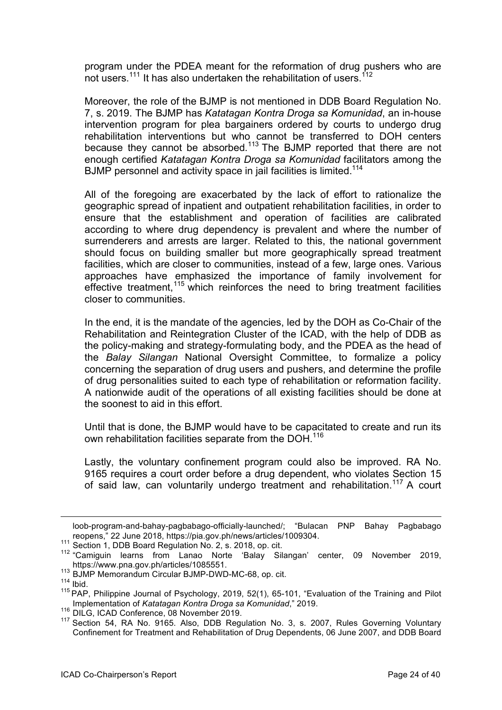program under the PDEA meant for the reformation of drug pushers who are not users.<sup>111</sup> It has also undertaken the rehabilitation of users.<sup>112</sup>

Moreover, the role of the BJMP is not mentioned in DDB Board Regulation No. 7, s. 2019. The BJMP has *Katatagan Kontra Droga sa Komunidad*, an in-house intervention program for plea bargainers ordered by courts to undergo drug rehabilitation interventions but who cannot be transferred to DOH centers because they cannot be absorbed.<sup>113</sup> The BJMP reported that there are not enough certified *Katatagan Kontra Droga sa Komunidad* facilitators among the BJMP personnel and activity space in jail facilities is limited.<sup>114</sup>

All of the foregoing are exacerbated by the lack of effort to rationalize the geographic spread of inpatient and outpatient rehabilitation facilities, in order to ensure that the establishment and operation of facilities are calibrated according to where drug dependency is prevalent and where the number of surrenderers and arrests are larger. Related to this, the national government should focus on building smaller but more geographically spread treatment facilities, which are closer to communities, instead of a few, large ones. Various approaches have emphasized the importance of family involvement for effective treatment,<sup>115</sup> which reinforces the need to bring treatment facilities closer to communities.

In the end, it is the mandate of the agencies, led by the DOH as Co-Chair of the Rehabilitation and Reintegration Cluster of the ICAD, with the help of DDB as the policy-making and strategy-formulating body, and the PDEA as the head of the *Balay Silangan* National Oversight Committee, to formalize a policy concerning the separation of drug users and pushers, and determine the profile of drug personalities suited to each type of rehabilitation or reformation facility. A nationwide audit of the operations of all existing facilities should be done at the soonest to aid in this effort.

Until that is done, the BJMP would have to be capacitated to create and run its own rehabilitation facilities separate from the DOH.<sup>116</sup>

Lastly, the voluntary confinement program could also be improved. RA No. 9165 requires a court order before a drug dependent, who violates Section 15 of said law, can voluntarily undergo treatment and rehabilitation.<sup>117</sup> A court

loob-program-and-bahay-pagbabago-officially-launched/; "Bulacan PNP Bahay Pagbabago reopens," 22 June 2018, https://pia.gov.ph/news/articles/1009304.

reopens," <sup>22</sup> June 2018, https://pia.gov.ph/news/articles/1009304. <sup>111</sup> Section 1, DDB Board Regulation No. 2, s. 2018, op. cit.

<sup>112</sup> "Camiguin learns from Lanao Norte 'Balay Silangan' center, 09 November 2019, https://www.pna.gov.ph/articles/1085551.<br><sup>113</sup> BJMP Memorandum Circular BJMP-DWD-MC-68, op. cit.

 $114$  Ibid.

<sup>&</sup>lt;sup>115</sup> PAP, Philippine Journal of Psychology, 2019, 52(1), 65-101, "Evaluation of the Training and Pilot Implementation of *Katatagan Kontra Droga sa Komunidad*," 2019.

<sup>116</sup> DILG, ICAD Conference, 08 November 2019.

<sup>&</sup>lt;sup>117</sup> Section 54, RA No. 9165. Also, DDB Regulation No. 3, s. 2007, Rules Governing Voluntary Confinement for Treatment and Rehabilitation of Drug Dependents, 06 June 2007, and DDB Board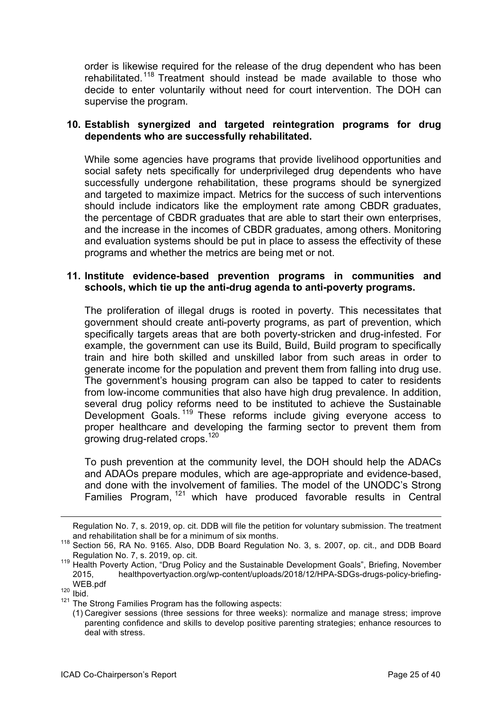order is likewise required for the release of the drug dependent who has been rehabilitated.<sup>118</sup> Treatment should instead be made available to those who decide to enter voluntarily without need for court intervention. The DOH can supervise the program.

#### **10. Establish synergized and targeted reintegration programs for drug dependents who are successfully rehabilitated.**

While some agencies have programs that provide livelihood opportunities and social safety nets specifically for underprivileged drug dependents who have successfully undergone rehabilitation, these programs should be synergized and targeted to maximize impact. Metrics for the success of such interventions should include indicators like the employment rate among CBDR graduates, the percentage of CBDR graduates that are able to start their own enterprises, and the increase in the incomes of CBDR graduates, among others. Monitoring and evaluation systems should be put in place to assess the effectivity of these programs and whether the metrics are being met or not.

#### **11. Institute evidence-based prevention programs in communities and schools, which tie up the anti-drug agenda to anti-poverty programs.**

The proliferation of illegal drugs is rooted in poverty. This necessitates that government should create anti-poverty programs, as part of prevention, which specifically targets areas that are both poverty-stricken and drug-infested. For example, the government can use its Build, Build, Build program to specifically train and hire both skilled and unskilled labor from such areas in order to generate income for the population and prevent them from falling into drug use. The government's housing program can also be tapped to cater to residents from low-income communities that also have high drug prevalence. In addition, several drug policy reforms need to be instituted to achieve the Sustainable Development Goals.<sup>119</sup> These reforms include giving everyone access to proper healthcare and developing the farming sector to prevent them from growing drug-related crops.<sup>120</sup>

To push prevention at the community level, the DOH should help the ADACs and ADAOs prepare modules, which are age-appropriate and evidence-based, and done with the involvement of families. The model of the UNODC's Strong Families Program, <sup>121</sup> which have produced favorable results in Central

Regulation No. 7, s. 2019, op. cit. DDB will file the petition for voluntary submission. The treatment and rehabilitation shall be for a minimum of six months.

<sup>118</sup> Section 56, RA No. 9165. Also, DDB Board Regulation No. 3, s. 2007, op. cit., and DDB Board Regulation No. 7, s. 2019, op. cit.

<sup>119</sup> Health Poverty Action, "Drug Policy and the Sustainable Development Goals", Briefing, November 2015, healthpovertyaction.org/wp-content/uploads/2018/12/HPA-SDGs-drugs-policy-briefing-WEB.pdf<br>
<sup>120</sup> Ibid.

 $121$  The Strong Families Program has the following aspects:

<sup>(1)</sup> Caregiver sessions (three sessions for three weeks): normalize and manage stress; improve parenting confidence and skills to develop positive parenting strategies; enhance resources to deal with stress.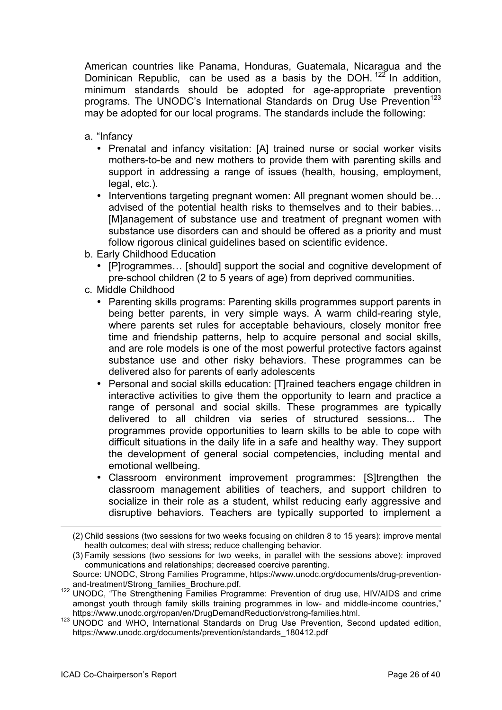American countries like Panama, Honduras, Guatemala, Nicaragua and the Dominican Republic, can be used as a basis by the DOH.  $122^{\circ}$  In addition. minimum standards should be adopted for age-appropriate prevention programs. The UNODC's International Standards on Drug Use Prevention<sup>123</sup> may be adopted for our local programs. The standards include the following:

- a. "Infancy
	- Prenatal and infancy visitation: [A] trained nurse or social worker visits mothers-to-be and new mothers to provide them with parenting skills and support in addressing a range of issues (health, housing, employment, legal, etc.).
	- Interventions targeting pregnant women: All pregnant women should be... advised of the potential health risks to themselves and to their babies… [M]anagement of substance use and treatment of pregnant women with substance use disorders can and should be offered as a priority and must follow rigorous clinical guidelines based on scientific evidence.
- b. Early Childhood Education
	- [P]rogrammes… [should] support the social and cognitive development of pre-school children (2 to 5 years of age) from deprived communities.
- c. Middle Childhood
	- Parenting skills programs: Parenting skills programmes support parents in being better parents, in very simple ways. A warm child-rearing style, where parents set rules for acceptable behaviours, closely monitor free time and friendship patterns, help to acquire personal and social skills, and are role models is one of the most powerful protective factors against substance use and other risky behaviors. These programmes can be delivered also for parents of early adolescents
	- Personal and social skills education: [T]rained teachers engage children in interactive activities to give them the opportunity to learn and practice a range of personal and social skills. These programmes are typically delivered to all children via series of structured sessions... The programmes provide opportunities to learn skills to be able to cope with difficult situations in the daily life in a safe and healthy way. They support the development of general social competencies, including mental and emotional wellbeing.
	- Classroom environment improvement programmes: [S]trengthen the classroom management abilities of teachers, and support children to socialize in their role as a student, whilst reducing early aggressive and disruptive behaviors. Teachers are typically supported to implement a

<sup>(2)</sup> Child sessions (two sessions for two weeks focusing on children 8 to 15 years): improve mental health outcomes; deal with stress; reduce challenging behavior.

<sup>(3)</sup> Family sessions (two sessions for two weeks, in parallel with the sessions above): improved communications and relationships; decreased coercive parenting.

Source: UNODC, Strong Families Programme, https://www.unodc.org/documents/drug-prevention-

and-treatment/Strong\_families\_Brochure.pdf.<br><sup>122</sup> UNODC, "The Strengthening Families Programme: Prevention of drug use, HIV/AIDS and crime amongst youth through family skills training programmes in low- and middle-income countries," https://www.unodc.org/ropan/en/DrugDemandReduction/strong-families.html.

<sup>&</sup>lt;sup>123</sup> UNODC and WHO, International Standards on Drug Use Prevention, Second updated edition, https://www.unodc.org/documents/prevention/standards\_180412.pdf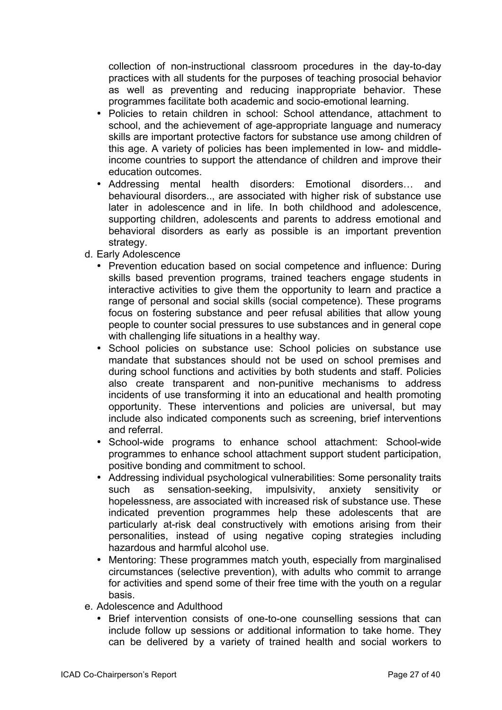collection of non-instructional classroom procedures in the day-to-day practices with all students for the purposes of teaching prosocial behavior as well as preventing and reducing inappropriate behavior. These programmes facilitate both academic and socio-emotional learning.

- Policies to retain children in school: School attendance, attachment to school, and the achievement of age-appropriate language and numeracy skills are important protective factors for substance use among children of this age. A variety of policies has been implemented in low- and middleincome countries to support the attendance of children and improve their education outcomes.
- Addressing mental health disorders: Emotional disorders… and behavioural disorders.., are associated with higher risk of substance use later in adolescence and in life. In both childhood and adolescence, supporting children, adolescents and parents to address emotional and behavioral disorders as early as possible is an important prevention strategy.
- d. Early Adolescence
	- Prevention education based on social competence and influence: During skills based prevention programs, trained teachers engage students in interactive activities to give them the opportunity to learn and practice a range of personal and social skills (social competence). These programs focus on fostering substance and peer refusal abilities that allow young people to counter social pressures to use substances and in general cope with challenging life situations in a healthy way.
	- School policies on substance use: School policies on substance use mandate that substances should not be used on school premises and during school functions and activities by both students and staff. Policies also create transparent and non-punitive mechanisms to address incidents of use transforming it into an educational and health promoting opportunity. These interventions and policies are universal, but may include also indicated components such as screening, brief interventions and referral.
	- School-wide programs to enhance school attachment: School-wide programmes to enhance school attachment support student participation, positive bonding and commitment to school.
	- Addressing individual psychological vulnerabilities: Some personality traits such as sensation-seeking, impulsivity, anxiety sensitivity or hopelessness, are associated with increased risk of substance use. These indicated prevention programmes help these adolescents that are particularly at-risk deal constructively with emotions arising from their personalities, instead of using negative coping strategies including hazardous and harmful alcohol use.
	- Mentoring: These programmes match youth, especially from marginalised circumstances (selective prevention), with adults who commit to arrange for activities and spend some of their free time with the youth on a regular basis.
- e. Adolescence and Adulthood
	- Brief intervention consists of one-to-one counselling sessions that can include follow up sessions or additional information to take home. They can be delivered by a variety of trained health and social workers to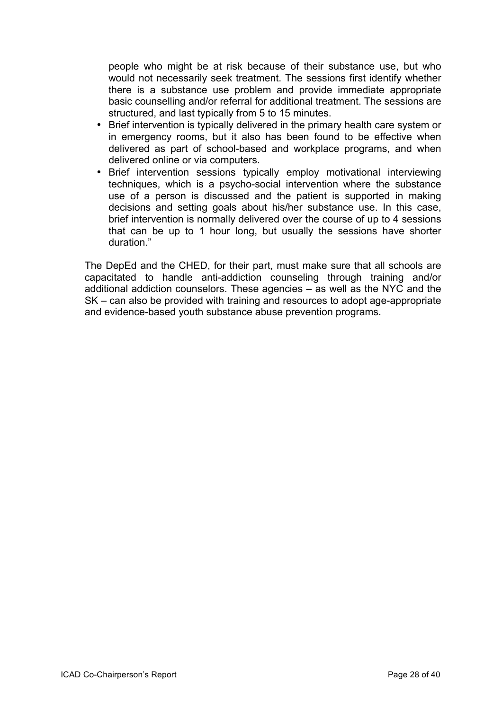people who might be at risk because of their substance use, but who would not necessarily seek treatment. The sessions first identify whether there is a substance use problem and provide immediate appropriate basic counselling and/or referral for additional treatment. The sessions are structured, and last typically from 5 to 15 minutes.

- Brief intervention is typically delivered in the primary health care system or in emergency rooms, but it also has been found to be effective when delivered as part of school-based and workplace programs, and when delivered online or via computers.
- Brief intervention sessions typically employ motivational interviewing techniques, which is a psycho-social intervention where the substance use of a person is discussed and the patient is supported in making decisions and setting goals about his/her substance use. In this case, brief intervention is normally delivered over the course of up to 4 sessions that can be up to 1 hour long, but usually the sessions have shorter duration."

The DepEd and the CHED, for their part, must make sure that all schools are capacitated to handle anti-addiction counseling through training and/or additional addiction counselors. These agencies – as well as the NYC and the SK – can also be provided with training and resources to adopt age-appropriate and evidence-based youth substance abuse prevention programs.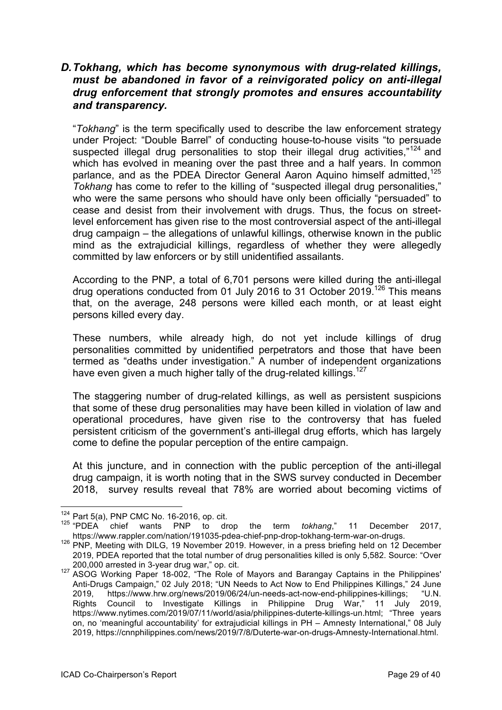# *D.Tokhang, which has become synonymous with drug-related killings, must be abandoned in favor of a reinvigorated policy on anti-illegal drug enforcement that strongly promotes and ensures accountability and transparency.*

"*Tokhang*" is the term specifically used to describe the law enforcement strategy under Project: "Double Barrel" of conducting house-to-house visits "to persuade suspected illegal drug personalities to stop their illegal drug activities," $124$  and which has evolved in meaning over the past three and a half years. In common parlance, and as the PDEA Director General Aaron Aquino himself admitted.<sup>125</sup> *Tokhang* has come to refer to the killing of "suspected illegal drug personalities," who were the same persons who should have only been officially "persuaded" to cease and desist from their involvement with drugs. Thus, the focus on streetlevel enforcement has given rise to the most controversial aspect of the anti-illegal drug campaign – the allegations of unlawful killings, otherwise known in the public mind as the extrajudicial killings, regardless of whether they were allegedly committed by law enforcers or by still unidentified assailants.

According to the PNP, a total of 6,701 persons were killed during the anti-illegal drug operations conducted from 01 July 2016 to 31 October 2019.126 This means that, on the average, 248 persons were killed each month, or at least eight persons killed every day.

These numbers, while already high, do not yet include killings of drug personalities committed by unidentified perpetrators and those that have been termed as "deaths under investigation." A number of independent organizations have even given a much higher tally of the drug-related killings.<sup>127</sup>

The staggering number of drug-related killings, as well as persistent suspicions that some of these drug personalities may have been killed in violation of law and operational procedures, have given rise to the controversy that has fueled persistent criticism of the government's anti-illegal drug efforts, which has largely come to define the popular perception of the entire campaign.

At this juncture, and in connection with the public perception of the anti-illegal drug campaign, it is worth noting that in the SWS survey conducted in December 2018, survey results reveal that 78% are worried about becoming victims of

<sup>124</sup> Part 5(a), PNP CMC No. 16-2016, op. cit.

<sup>125 &</sup>quot;PDEA chief wants PNP to drop the term *tokhang*," 11 December 2017,<br>https://www.rappler.com/nation/191035-pdea-chief-pnp-drop-tokhang-term-war-on-drugs.

https://www.rappler.com/nation/191035-pdea-chief-price-prediction-properties-press briefing-press briefing held on 12 December 126 PNP, Meeting with DILG, 19 November 2019. However, in a press briefing held on 12 December 2019, PDEA reported that the total number of drug personalities killed is only 5,582. Source: "Over 200,000 arrested in 3-year drug war," op. cit.

<sup>127</sup> ASOG Working Paper 18-002, "The Role of Mayors and Barangay Captains in the Philippines' Anti-Drugs Campaign," 02 July 2018; "UN Needs to Act Now to End Philippines Killings," 24 June 2019, https://www.hrw.org/news/2019/06/24/un-needs-act-now-end-philippines-killings; "U.N. Rights Council to Investigate Killings in Philippine Drug War," 11 July 2019, https://www.nytimes.com/2019/07/11/world/asia/philippines-duterte-killings-un.html; "Three years on, no 'meaningful accountability' for extrajudicial killings in PH – Amnesty International," 08 July 2019, https://cnnphilippines.com/news/2019/7/8/Duterte-war-on-drugs-Amnesty-International.html.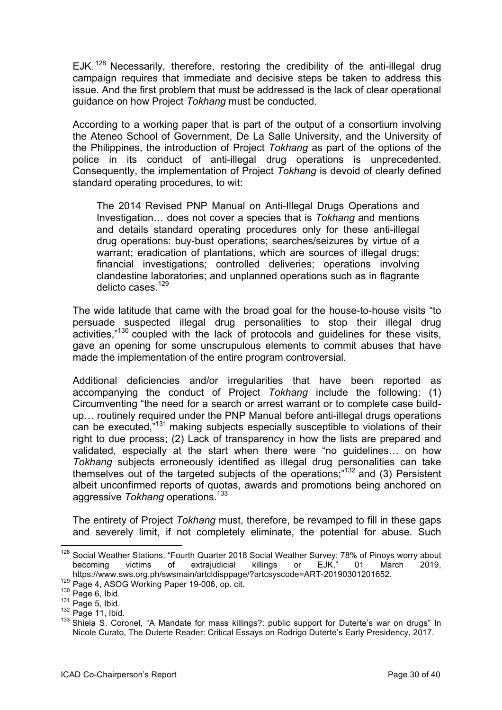EJK.<sup>128</sup> Necessarily, therefore, restoring the credibility of the anti-illegal drug campaign requires that immediate and decisive steps be taken to address this issue. And the first problem that must be addressed is the lack of clear operational guidance on how Project *Tokhang* must be conducted.

According to a working paper that is part of the output of a consortium involving the Ateneo School of Government, De La Salle University, and the University of the Philippines, the introduction of Project *Tokhang* as part of the options of the police in its conduct of anti-illegal drug operations is unprecedented. Consequently, the implementation of Project *Tokhang* is devoid of clearly defined standard operating procedures, to wit:

The 2014 Revised PNP Manual on Anti-Illegal Drugs Operations and Investigation… does not cover a species that is *Tokhang* and mentions and details standard operating procedures only for these anti-illegal drug operations: buy-bust operations; searches/seizures by virtue of a warrant; eradication of plantations, which are sources of illegal drugs; financial investigations; controlled deliveries; operations involving clandestine laboratories; and unplanned operations such as in flagrante delicto cases <sup>129</sup>

The wide latitude that came with the broad goal for the house-to-house visits "to persuade suspected illegal drug personalities to stop their illegal drug activities,"130 coupled with the lack of protocols and guidelines for these visits, gave an opening for some unscrupulous elements to commit abuses that have made the implementation of the entire program controversial.

Additional deficiencies and/or irregularities that have been reported as accompanying the conduct of Project *Tokhang* include the following: (1) Circumventing "the need for a search or arrest warrant or to complete case buildup… routinely required under the PNP Manual before anti-illegal drugs operations can be executed,"131 making subjects especially susceptible to violations of their right to due process; (2) Lack of transparency in how the lists are prepared and validated, especially at the start when there were "no guidelines… on how *Tokhang* subjects erroneously identified as illegal drug personalities can take themselves out of the targeted subjects of the operations;"132 and (3) Persistent albeit unconfirmed reports of quotas, awards and promotions being anchored on aggressive *Tokhang* operations.<sup>133</sup>

The entirety of Project *Tokhang* must, therefore, be revamped to fill in these gaps and severely limit, if not completely eliminate, the potential for abuse. Such

<sup>&</sup>lt;sup>128</sup> Social Weather Stations, "Fourth Quarter 2018 Social Weather Survey: 78% of Pinoys worry about becoming victims of extrajudicial killings or EJK," 01 March 2019, https://www.sws.org.ph/swsmain/artcldisppage/?artcsyscode=ART-20190301201652.

<sup>129</sup> Page 4, ASOG Working Paper 19-006, op. cit.

 $130$  Page 6, Ibid.

 $131$  Page 5, Ibid.

 $132$  Page 11, Ibid.

<sup>133</sup> Shiela S. Coronel, "A Mandate for mass killings?: public support for Duterte's war on drugs" In Nicole Curato, The Duterte Reader: Critical Essays on Rodrigo Duterte's Early Presidency, 2017.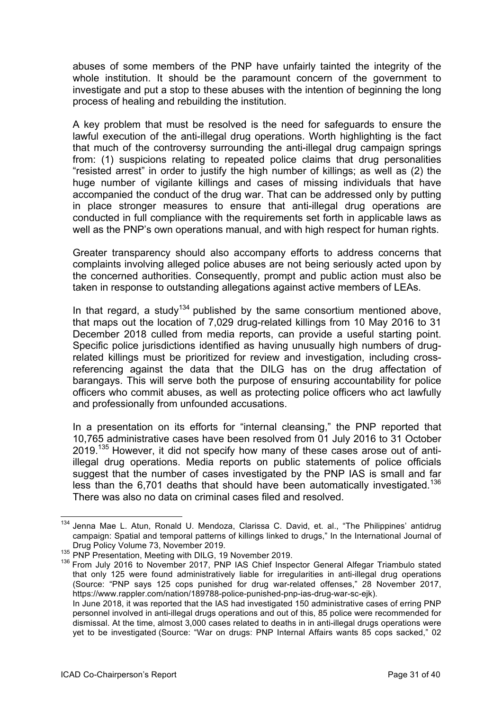abuses of some members of the PNP have unfairly tainted the integrity of the whole institution. It should be the paramount concern of the government to investigate and put a stop to these abuses with the intention of beginning the long process of healing and rebuilding the institution.

A key problem that must be resolved is the need for safeguards to ensure the lawful execution of the anti-illegal drug operations. Worth highlighting is the fact that much of the controversy surrounding the anti-illegal drug campaign springs from: (1) suspicions relating to repeated police claims that drug personalities "resisted arrest" in order to justify the high number of killings; as well as (2) the huge number of vigilante killings and cases of missing individuals that have accompanied the conduct of the drug war. That can be addressed only by putting in place stronger measures to ensure that anti-illegal drug operations are conducted in full compliance with the requirements set forth in applicable laws as well as the PNP's own operations manual, and with high respect for human rights.

Greater transparency should also accompany efforts to address concerns that complaints involving alleged police abuses are not being seriously acted upon by the concerned authorities. Consequently, prompt and public action must also be taken in response to outstanding allegations against active members of LEAs.

In that regard, a study<sup>134</sup> published by the same consortium mentioned above, that maps out the location of 7,029 drug-related killings from 10 May 2016 to 31 December 2018 culled from media reports, can provide a useful starting point. Specific police jurisdictions identified as having unusually high numbers of drugrelated killings must be prioritized for review and investigation, including crossreferencing against the data that the DILG has on the drug affectation of barangays. This will serve both the purpose of ensuring accountability for police officers who commit abuses, as well as protecting police officers who act lawfully and professionally from unfounded accusations.

In a presentation on its efforts for "internal cleansing," the PNP reported that 10,765 administrative cases have been resolved from 01 July 2016 to 31 October 2019.<sup>135</sup> However, it did not specify how many of these cases arose out of antiillegal drug operations. Media reports on public statements of police officials suggest that the number of cases investigated by the PNP IAS is small and far less than the 6,701 deaths that should have been automatically investigated.<sup>136</sup> There was also no data on criminal cases filed and resolved.

<sup>&</sup>lt;sup>134</sup> Jenna Mae L. Atun, Ronald U. Mendoza, Clarissa C. David, et. al., "The Philippines' antidrug campaign: Spatial and temporal patterns of killings linked to drugs," In the International Journal of Drug Policy Volume 73, November 2019.

<sup>&</sup>lt;sup>135</sup> PNP Presentation, Meeting with DILG, 19 November 2019.

<sup>&</sup>lt;sup>136</sup> From July 2016 to November 2017, PNP IAS Chief Inspector General Alfegar Triambulo stated that only 125 were found administratively liable for irregularities in anti-illegal drug operations (Source: "PNP says 125 cops punished for drug war-related offenses," 28 November 2017, https://www.rappler.com/nation/189788-police-punished-pnp-ias-drug-war-sc-ejk).

In June 2018, it was reported that the IAS had investigated 150 administrative cases of erring PNP personnel involved in anti-illegal drugs operations and out of this, 85 police were recommended for dismissal. At the time, almost 3,000 cases related to deaths in in anti-illegal drugs operations were yet to be investigated (Source: "War on drugs: PNP Internal Affairs wants 85 cops sacked," 02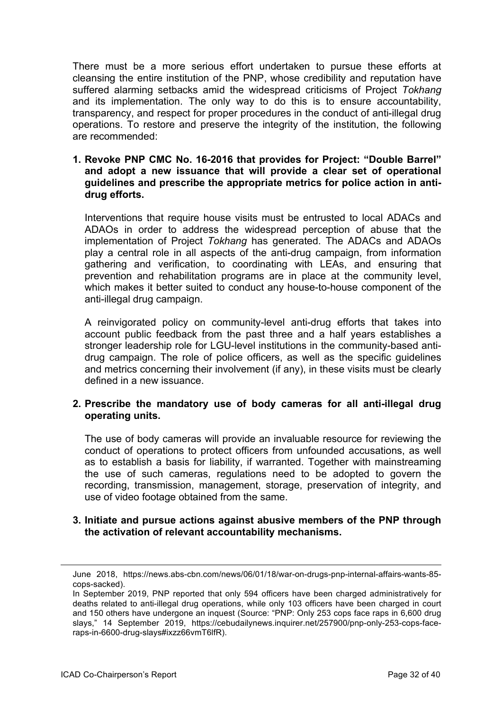There must be a more serious effort undertaken to pursue these efforts at cleansing the entire institution of the PNP, whose credibility and reputation have suffered alarming setbacks amid the widespread criticisms of Project *Tokhang* and its implementation. The only way to do this is to ensure accountability, transparency, and respect for proper procedures in the conduct of anti-illegal drug operations. To restore and preserve the integrity of the institution, the following are recommended:

#### **1. Revoke PNP CMC No. 16-2016 that provides for Project: "Double Barrel" and adopt a new issuance that will provide a clear set of operational guidelines and prescribe the appropriate metrics for police action in antidrug efforts.**

Interventions that require house visits must be entrusted to local ADACs and ADAOs in order to address the widespread perception of abuse that the implementation of Project *Tokhang* has generated. The ADACs and ADAOs play a central role in all aspects of the anti-drug campaign, from information gathering and verification, to coordinating with LEAs, and ensuring that prevention and rehabilitation programs are in place at the community level, which makes it better suited to conduct any house-to-house component of the anti-illegal drug campaign.

A reinvigorated policy on community-level anti-drug efforts that takes into account public feedback from the past three and a half years establishes a stronger leadership role for LGU-level institutions in the community-based antidrug campaign. The role of police officers, as well as the specific guidelines and metrics concerning their involvement (if any), in these visits must be clearly defined in a new issuance.

#### **2. Prescribe the mandatory use of body cameras for all anti-illegal drug operating units.**

The use of body cameras will provide an invaluable resource for reviewing the conduct of operations to protect officers from unfounded accusations, as well as to establish a basis for liability, if warranted. Together with mainstreaming the use of such cameras, regulations need to be adopted to govern the recording, transmission, management, storage, preservation of integrity, and use of video footage obtained from the same.

#### **3. Initiate and pursue actions against abusive members of the PNP through the activation of relevant accountability mechanisms.**

June 2018, https://news.abs-cbn.com/news/06/01/18/war-on-drugs-pnp-internal-affairs-wants-85 cops-sacked).

In September 2019, PNP reported that only 594 officers have been charged administratively for deaths related to anti-illegal drug operations, while only 103 officers have been charged in court and 150 others have undergone an inquest (Source: "PNP: Only 253 cops face raps in 6,600 drug slays," 14 September 2019, https://cebudailynews.inquirer.net/257900/pnp-only-253-cops-faceraps-in-6600-drug-slays#ixzz66vmT6lfR).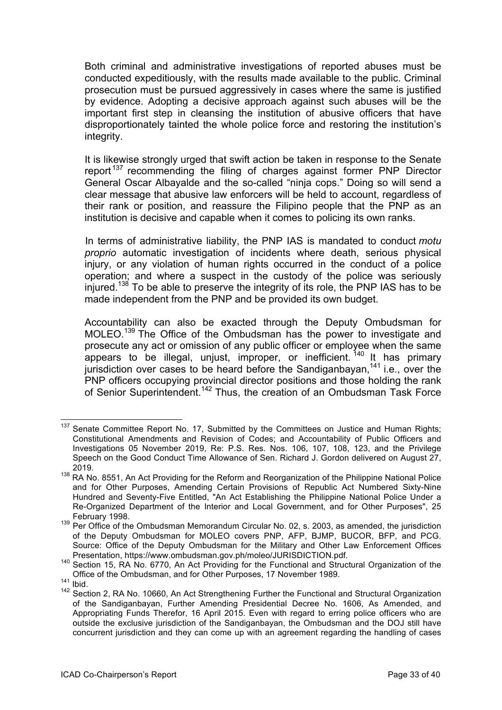Both criminal and administrative investigations of reported abuses must be conducted expeditiously, with the results made available to the public. Criminal prosecution must be pursued aggressively in cases where the same is justified by evidence. Adopting a decisive approach against such abuses will be the important first step in cleansing the institution of abusive officers that have disproportionately tainted the whole police force and restoring the institution's integrity.

It is likewise strongly urged that swift action be taken in response to the Senate report<sup>137</sup> recommending the filing of charges against former PNP Director General Oscar Albayalde and the so-called "ninja cops." Doing so will send a clear message that abusive law enforcers will be held to account, regardless of their rank or position, and reassure the Filipino people that the PNP as an institution is decisive and capable when it comes to policing its own ranks.

In terms of administrative liability, the PNP IAS is mandated to conduct *motu proprio* automatic investigation of incidents where death, serious physical injury, or any violation of human rights occurred in the conduct of a police operation; and where a suspect in the custody of the police was seriously injured.<sup>138</sup> To be able to preserve the integrity of its role, the PNP IAS has to be made independent from the PNP and be provided its own budget.

Accountability can also be exacted through the Deputy Ombudsman for MOLEO.<sup>139</sup> The Office of the Ombudsman has the power to investigate and prosecute any act or omission of any public officer or employee when the same appears to be illegal, unjust, improper, or inefficient. <sup>140</sup> It has primary jurisdiction over cases to be heard before the Sandiganbayan,<sup>141</sup> i.e., over the PNP officers occupying provincial director positions and those holding the rank of Senior Superintendent.<sup>142</sup> Thus, the creation of an Ombudsman Task Force

<sup>&</sup>lt;sup>137</sup> Senate Committee Report No. 17, Submitted by the Committees on Justice and Human Rights; Constitutional Amendments and Revision of Codes; and Accountability of Public Officers and Investigations 05 November 2019, Re: P.S. Res. Nos. 106, 107, 108, 123, and the Privilege Speech on the Good Conduct Time Allowance of Sen. Richard J. Gordon delivered on August 27, 2019.

<sup>138</sup> RA No. 8551, An Act Providing for the Reform and Reorganization of the Philippine National Police and for Other Purposes, Amending Certain Provisions of Republic Act Numbered Sixty-Nine Hundred and Seventy-Five Entitled, "An Act Establishing the Philippine National Police Under a Re-Organized Department of the Interior and Local Government, and for Other Purposes", 25 February 1998.

<sup>&</sup>lt;sup>139</sup> Per Office of the Ombudsman Memorandum Circular No. 02, s. 2003, as amended, the jurisdiction of the Deputy Ombudsman for MOLEO covers PNP, AFP, BJMP, BUCOR, BFP, and PCG. Source: Office of the Deputy Ombudsman for the Military and Other Law Enforcement Offices

Presentation, https://www.ombudsman.gov.ph/moleo/JURISDICTION.pdf.<br><sup>140</sup> Section 15, RA No. 6770, An Act Providing for the Functional and Structural Organization of the Office of the Ombudsman, and for Other Purposes, 17 November 1989.

 $141$  Ibid.

<sup>&</sup>lt;sup>142</sup> Section 2, RA No. 10660, An Act Strengthening Further the Functional and Structural Organization of the Sandiganbayan, Further Amending Presidential Decree No. 1606, As Amended, and Appropriating Funds Therefor, 16 April 2015. Even with regard to erring police officers who are outside the exclusive jurisdiction of the Sandiganbayan, the Ombudsman and the DOJ still have concurrent jurisdiction and they can come up with an agreement regarding the handling of cases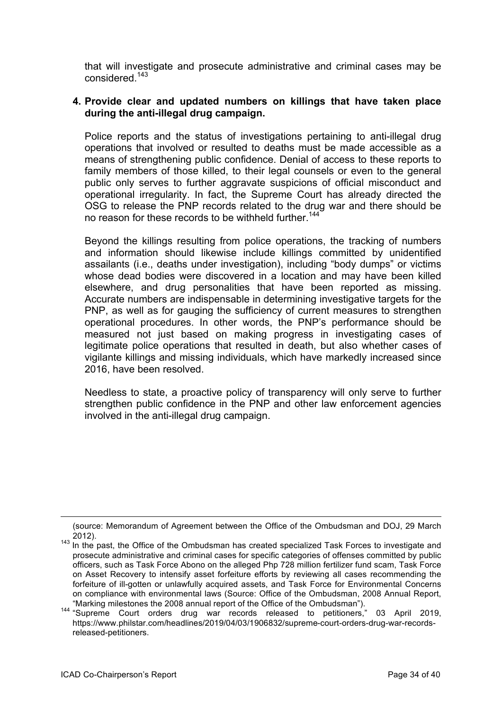that will investigate and prosecute administrative and criminal cases may be considered.<sup>143</sup>

#### **4. Provide clear and updated numbers on killings that have taken place during the anti-illegal drug campaign.**

Police reports and the status of investigations pertaining to anti-illegal drug operations that involved or resulted to deaths must be made accessible as a means of strengthening public confidence. Denial of access to these reports to family members of those killed, to their legal counsels or even to the general public only serves to further aggravate suspicions of official misconduct and operational irregularity. In fact, the Supreme Court has already directed the OSG to release the PNP records related to the drug war and there should be no reason for these records to be withheld further.<sup>144</sup>

Beyond the killings resulting from police operations, the tracking of numbers and information should likewise include killings committed by unidentified assailants (i.e., deaths under investigation), including "body dumps" or victims whose dead bodies were discovered in a location and may have been killed elsewhere, and drug personalities that have been reported as missing. Accurate numbers are indispensable in determining investigative targets for the PNP, as well as for gauging the sufficiency of current measures to strengthen operational procedures. In other words, the PNP's performance should be measured not just based on making progress in investigating cases of legitimate police operations that resulted in death, but also whether cases of vigilante killings and missing individuals, which have markedly increased since 2016, have been resolved.

Needless to state, a proactive policy of transparency will only serve to further strengthen public confidence in the PNP and other law enforcement agencies involved in the anti-illegal drug campaign.

<sup>(</sup>source: Memorandum of Agreement between the Office of the Ombudsman and DOJ, 29 March

<sup>&</sup>lt;sup>143</sup> In the past, the Office of the Ombudsman has created specialized Task Forces to investigate and prosecute administrative and criminal cases for specific categories of offenses committed by public officers, such as Task Force Abono on the alleged Php 728 million fertilizer fund scam, Task Force on Asset Recovery to intensify asset forfeiture efforts by reviewing all cases recommending the forfeiture of ill-gotten or unlawfully acquired assets, and Task Force for Environmental Concerns on compliance with environmental laws (Source: Office of the Ombudsman, 2008 Annual Report,

<sup>&</sup>quot;Marking milestones the <sup>2008</sup> annual report of the Office of the Ombudsman"). <sup>144</sup> "Supreme Court orders drug war records released to petitioners," <sup>03</sup> April 2019, https://www.philstar.com/headlines/2019/04/03/1906832/supreme-court-orders-drug-war-recordsreleased-petitioners.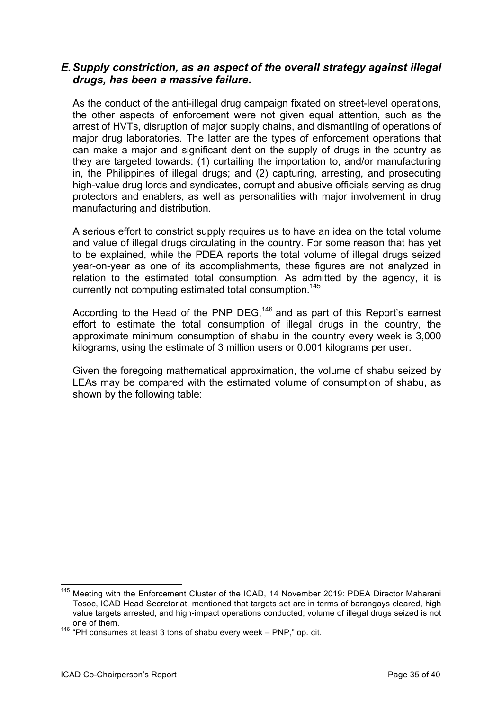# *E.Supply constriction, as an aspect of the overall strategy against illegal drugs, has been a massive failure.*

As the conduct of the anti-illegal drug campaign fixated on street-level operations, the other aspects of enforcement were not given equal attention, such as the arrest of HVTs, disruption of major supply chains, and dismantling of operations of major drug laboratories. The latter are the types of enforcement operations that can make a major and significant dent on the supply of drugs in the country as they are targeted towards: (1) curtailing the importation to, and/or manufacturing in, the Philippines of illegal drugs; and (2) capturing, arresting, and prosecuting high-value drug lords and syndicates, corrupt and abusive officials serving as drug protectors and enablers, as well as personalities with major involvement in drug manufacturing and distribution.

A serious effort to constrict supply requires us to have an idea on the total volume and value of illegal drugs circulating in the country. For some reason that has yet to be explained, while the PDEA reports the total volume of illegal drugs seized year-on-year as one of its accomplishments, these figures are not analyzed in relation to the estimated total consumption. As admitted by the agency, it is currently not computing estimated total consumption.<sup>145</sup>

According to the Head of the PNP DEG,<sup>146</sup> and as part of this Report's earnest effort to estimate the total consumption of illegal drugs in the country, the approximate minimum consumption of shabu in the country every week is 3,000 kilograms, using the estimate of 3 million users or 0.001 kilograms per user.

Given the foregoing mathematical approximation, the volume of shabu seized by LEAs may be compared with the estimated volume of consumption of shabu, as shown by the following table:

<sup>&</sup>lt;sup>145</sup> Meeting with the Enforcement Cluster of the ICAD, 14 November 2019: PDEA Director Maharani Tosoc, ICAD Head Secretariat, mentioned that targets set are in terms of barangays cleared, high value targets arrested, and high-impact operations conducted; volume of illegal drugs seized is not one of them.

<sup>&</sup>lt;sup>146</sup> "PH consumes at least 3 tons of shabu every week – PNP," op. cit.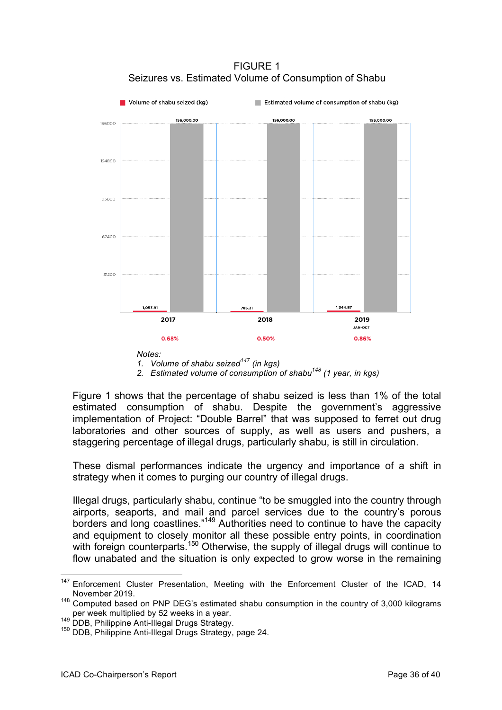

FIGURE 1 Seizures vs. Estimated Volume of Consumption of Shabu

*2. Estimated volume of consumption of shabu<sup>148</sup> (1 year, in kgs)*

Figure 1 shows that the percentage of shabu seized is less than 1% of the total estimated consumption of shabu. Despite the government's aggressive implementation of Project: "Double Barrel" that was supposed to ferret out drug laboratories and other sources of supply, as well as users and pushers, a staggering percentage of illegal drugs, particularly shabu, is still in circulation.

These dismal performances indicate the urgency and importance of a shift in strategy when it comes to purging our country of illegal drugs.

Illegal drugs, particularly shabu, continue "to be smuggled into the country through airports, seaports, and mail and parcel services due to the country's porous borders and long coastlines."149 Authorities need to continue to have the capacity and equipment to closely monitor all these possible entry points, in coordination with foreign counterparts.<sup>150</sup> Otherwise, the supply of illegal drugs will continue to flow unabated and the situation is only expected to grow worse in the remaining

*<sup>1.</sup> Volume of shabu seized<sup>147</sup> (in kgs)*

<sup>&</sup>lt;sup>147</sup> Enforcement Cluster Presentation, Meeting with the Enforcement Cluster of the ICAD, 14 November 2019.

<sup>&</sup>lt;sup>148</sup> Computed based on PNP DEG's estimated shabu consumption in the country of 3,000 kilograms per week multiplied by 52 weeks in a year.

<sup>149</sup> DDB, Philippine Anti-Illegal Drugs Strategy.<br>
<sup>149</sup> DDB, Philippine Anti-Illegal Drugs Strategy, page 24.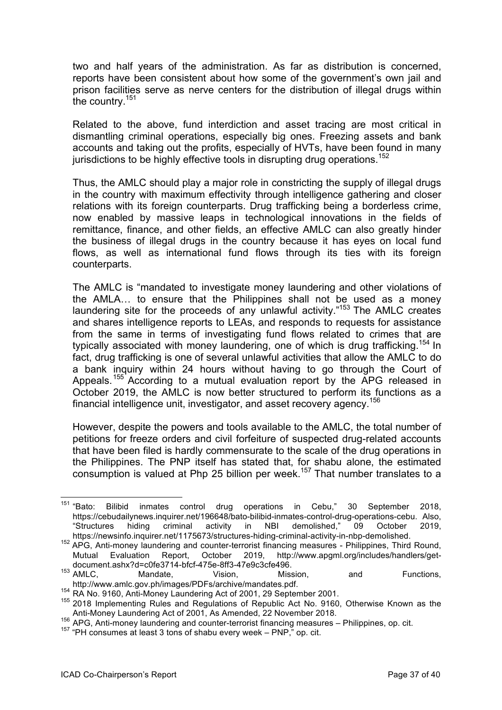two and half years of the administration. As far as distribution is concerned, reports have been consistent about how some of the government's own jail and prison facilities serve as nerve centers for the distribution of illegal drugs within the country.<sup>151</sup>

Related to the above, fund interdiction and asset tracing are most critical in dismantling criminal operations, especially big ones. Freezing assets and bank accounts and taking out the profits, especially of HVTs, have been found in many jurisdictions to be highly effective tools in disrupting drug operations.<sup>152</sup>

Thus, the AMLC should play a major role in constricting the supply of illegal drugs in the country with maximum effectivity through intelligence gathering and closer relations with its foreign counterparts. Drug trafficking being a borderless crime, now enabled by massive leaps in technological innovations in the fields of remittance, finance, and other fields, an effective AMLC can also greatly hinder the business of illegal drugs in the country because it has eyes on local fund flows, as well as international fund flows through its ties with its foreign counterparts.

The AMLC is "mandated to investigate money laundering and other violations of the AMLA… to ensure that the Philippines shall not be used as a money laundering site for the proceeds of any unlawful activity."<sup>153</sup> The AMLC creates and shares intelligence reports to LEAs, and responds to requests for assistance from the same in terms of investigating fund flows related to crimes that are typically associated with money laundering, one of which is drug trafficking.<sup>154</sup> In fact, drug trafficking is one of several unlawful activities that allow the AMLC to do a bank inquiry within 24 hours without having to go through the Court of Appeals.<sup>155</sup> According to a mutual evaluation report by the APG released in October 2019, the AMLC is now better structured to perform its functions as a financial intelligence unit, investigator, and asset recovery agency.<sup>156</sup>

However, despite the powers and tools available to the AMLC, the total number of petitions for freeze orders and civil forfeiture of suspected drug-related accounts that have been filed is hardly commensurate to the scale of the drug operations in the Philippines. The PNP itself has stated that, for shabu alone, the estimated consumption is valued at Php 25 billion per week.<sup>157</sup> That number translates to a

<sup>&</sup>lt;sup>151</sup> "Bato: Bilibid inmates control drug operations in Cebu," 30 September 2018, https://cebudailynews.inquirer.net/196648/bato-bilibid-inmates-control-drug-operations-cebu. Also, "Structures hiding criminal activity in NBI demolished," 09 October 2019, https://newsinfo.inquirer.net/1175673/structures-hiding-criminal-activity-in-nbp-demolished.

<sup>152</sup> APG, Anti-money laundering and counter-terrorist financing measures - Philippines, Third Round, Mutual Evaluation Report, October 2019, http://www.apgml.org/includes/handlers/getdocument.ashx?d=c0fe3714-bfcf-475e-8ff3-47e9c3cfe496.

<sup>153</sup> AMLC, Mandate, Vision, Mission, and Functions, http://www.amlc.gov.ph/images/PDFs/archive/mandates.pdf. <sup>154</sup> RA No. 9160, Anti-Money Laundering Act of 2001, <sup>29</sup> September 2001.

<sup>&</sup>lt;sup>155</sup> 2018 Implementing Rules and Regulations of Republic Act No. 9160, Otherwise Known as the Anti-Money Laundering Act of 2001, As Amended, 22 November 2018.

<sup>156</sup> APG, Anti-money laundering and counter-terrorist financing measures – Philippines, op. cit.

<sup>&</sup>lt;sup>157</sup> "PH consumes at least 3 tons of shabu every week – PNP," op. cit.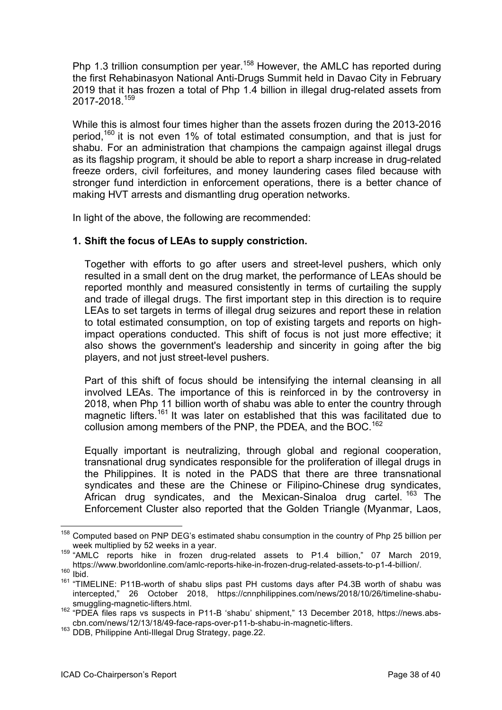Php 1.3 trillion consumption per year.<sup>158</sup> However, the AMLC has reported during the first Rehabinasyon National Anti-Drugs Summit held in Davao City in February 2019 that it has frozen a total of Php 1.4 billion in illegal drug-related assets from 2017-2018.<sup>159</sup>

While this is almost four times higher than the assets frozen during the 2013-2016 period,<sup>160</sup> it is not even 1% of total estimated consumption, and that is just for shabu. For an administration that champions the campaign against illegal drugs as its flagship program, it should be able to report a sharp increase in drug-related freeze orders, civil forfeitures, and money laundering cases filed because with stronger fund interdiction in enforcement operations, there is a better chance of making HVT arrests and dismantling drug operation networks.

In light of the above, the following are recommended:

#### **1. Shift the focus of LEAs to supply constriction.**

Together with efforts to go after users and street-level pushers, which only resulted in a small dent on the drug market, the performance of LEAs should be reported monthly and measured consistently in terms of curtailing the supply and trade of illegal drugs. The first important step in this direction is to require LEAs to set targets in terms of illegal drug seizures and report these in relation to total estimated consumption, on top of existing targets and reports on highimpact operations conducted. This shift of focus is not just more effective; it also shows the government's leadership and sincerity in going after the big players, and not just street-level pushers.

Part of this shift of focus should be intensifying the internal cleansing in all involved LEAs. The importance of this is reinforced in by the controversy in 2018, when Php 11 billion worth of shabu was able to enter the country through magnetic lifters.<sup>161</sup> It was later on established that this was facilitated due to collusion among members of the PNP, the PDEA, and the BOC.<sup>162</sup>

Equally important is neutralizing, through global and regional cooperation, transnational drug syndicates responsible for the proliferation of illegal drugs in the Philippines. It is noted in the PADS that there are three transnational syndicates and these are the Chinese or Filipino-Chinese drug syndicates, African drug syndicates, and the Mexican-Sinaloa drug cartel. <sup>163</sup> The Enforcement Cluster also reported that the Golden Triangle (Myanmar, Laos,

<sup>&</sup>lt;sup>158</sup> Computed based on PNP DEG's estimated shabu consumption in the country of Php 25 billion per

week multiplied by 52 weeks in a year.<br><sup>159</sup> "AMLC reports hike in frozen drug-related assets to P1.4 billion," 07 March 2019, https://www.bworldonline.com/amlc-reports-hike-in-frozen-drug-related-assets-to-p1-4-billion/.  $160$  Ibid.

<sup>&</sup>lt;sup>161</sup> "TIMELINE: P11B-worth of shabu slips past PH customs days after P4.3B worth of shabu was intercepted," 26 October 2018, https://cnnphilippines.com/news/2018/10/26/timeline-shabusmuggling-magnetic-lifters.html.

<sup>162</sup> "PDEA files raps vs suspects in P11-B 'shabu' shipment," 13 December 2018, https://news.abscbn.com/news/12/13/18/49-face-raps-over-p11-b-shabu-in-magnetic-lifters.

<sup>163</sup> **DDB. Philippine Anti-Illegal Drug Strategy, page.22.**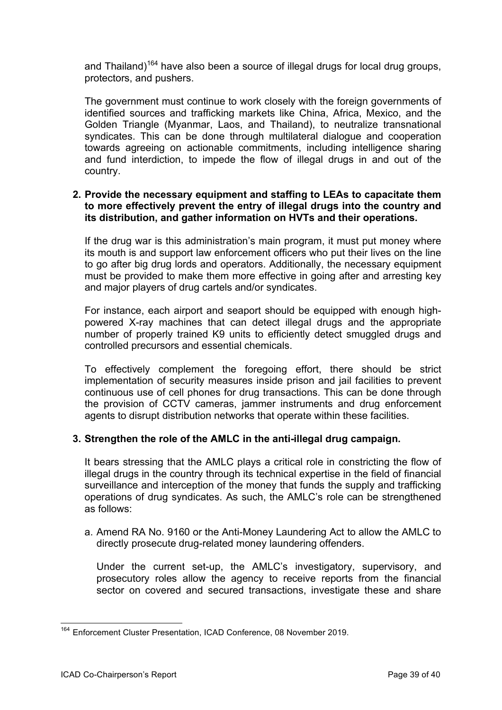and Thailand)<sup>164</sup> have also been a source of illegal drugs for local drug groups, protectors, and pushers.

The government must continue to work closely with the foreign governments of identified sources and trafficking markets like China, Africa, Mexico, and the Golden Triangle (Myanmar, Laos, and Thailand), to neutralize transnational syndicates. This can be done through multilateral dialogue and cooperation towards agreeing on actionable commitments, including intelligence sharing and fund interdiction, to impede the flow of illegal drugs in and out of the country.

#### **2. Provide the necessary equipment and staffing to LEAs to capacitate them to more effectively prevent the entry of illegal drugs into the country and its distribution, and gather information on HVTs and their operations.**

If the drug war is this administration's main program, it must put money where its mouth is and support law enforcement officers who put their lives on the line to go after big drug lords and operators. Additionally, the necessary equipment must be provided to make them more effective in going after and arresting key and major players of drug cartels and/or syndicates.

For instance, each airport and seaport should be equipped with enough highpowered X-ray machines that can detect illegal drugs and the appropriate number of properly trained K9 units to efficiently detect smuggled drugs and controlled precursors and essential chemicals.

To effectively complement the foregoing effort, there should be strict implementation of security measures inside prison and jail facilities to prevent continuous use of cell phones for drug transactions. This can be done through the provision of CCTV cameras, jammer instruments and drug enforcement agents to disrupt distribution networks that operate within these facilities.

#### **3. Strengthen the role of the AMLC in the anti-illegal drug campaign.**

It bears stressing that the AMLC plays a critical role in constricting the flow of illegal drugs in the country through its technical expertise in the field of financial surveillance and interception of the money that funds the supply and trafficking operations of drug syndicates. As such, the AMLC's role can be strengthened as follows:

a. Amend RA No. 9160 or the Anti-Money Laundering Act to allow the AMLC to directly prosecute drug-related money laundering offenders.

Under the current set-up, the AMLC's investigatory, supervisory, and prosecutory roles allow the agency to receive reports from the financial sector on covered and secured transactions, investigate these and share

<sup>164</sup> Enforcement Cluster Presentation, ICAD Conference, <sup>08</sup> November 2019.